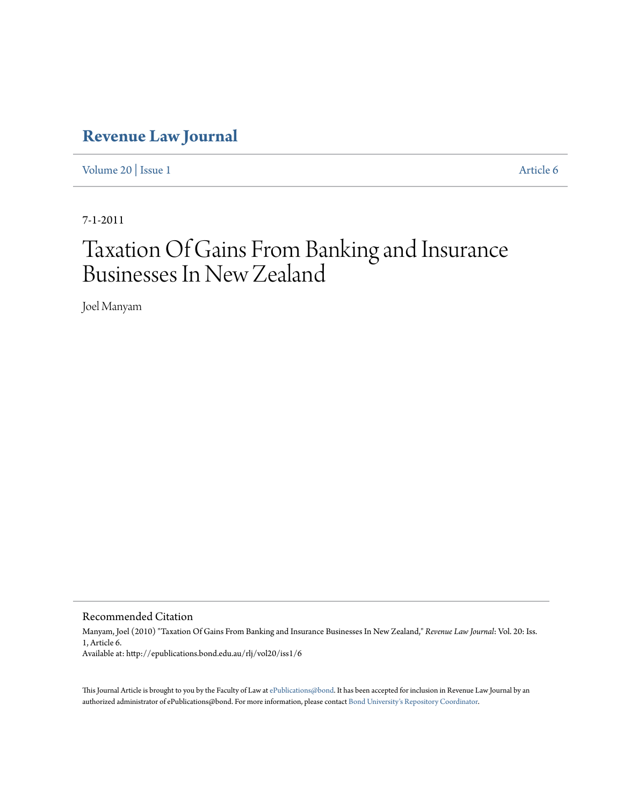## **[Revenue Law Journal](http://epublications.bond.edu.au/rlj)**

[Volume 20](http://epublications.bond.edu.au/rlj/vol20) | [Issue 1](http://epublications.bond.edu.au/rlj/vol20/iss1) [Article 6](http://epublications.bond.edu.au/rlj/vol20/iss1/6)

7-1-2011

# Taxation Of Gains From Banking and Insurance Businesses In New Zealand

Joel Manyam

Recommended Citation

Manyam, Joel (2010) "Taxation Of Gains From Banking and Insurance Businesses In New Zealand," *Revenue Law Journal*: Vol. 20: Iss. 1, Article 6. Available at: http://epublications.bond.edu.au/rlj/vol20/iss1/6

This Journal Article is brought to you by the Faculty of Law at [ePublications@bond](http://epublications.bond.edu.au). It has been accepted for inclusion in Revenue Law Journal by an authorized administrator of ePublications@bond. For more information, please contact [Bond University's Repository Coordinator.](mailto:acass@bond.edu.au)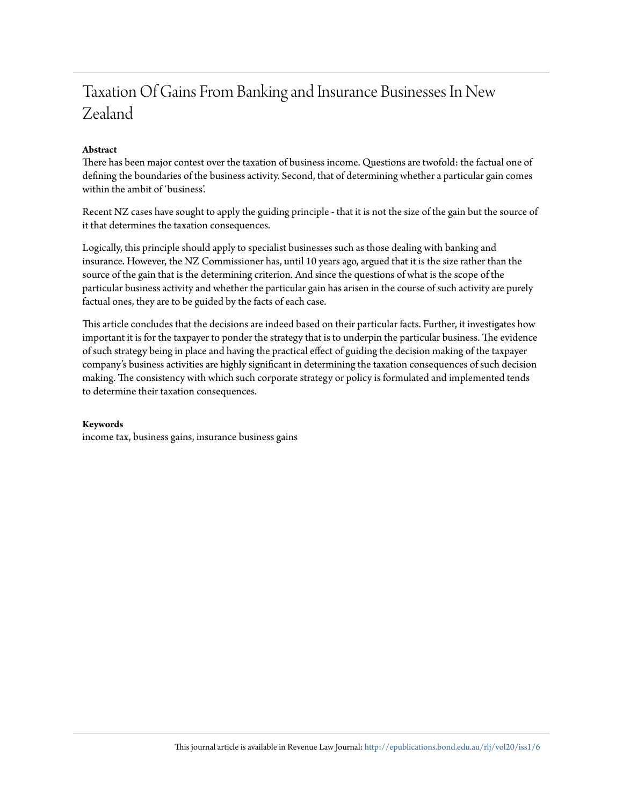## Taxation Of Gains From Banking and Insurance Businesses In New Zealand

#### **Abstract**

There has been major contest over the taxation of business income. Questions are twofold: the factual one of defining the boundaries of the business activity. Second, that of determining whether a particular gain comes within the ambit of 'business'.

Recent NZ cases have sought to apply the guiding principle - that it is not the size of the gain but the source of it that determines the taxation consequences.

Logically, this principle should apply to specialist businesses such as those dealing with banking and insurance. However, the NZ Commissioner has, until 10 years ago, argued that it is the size rather than the source of the gain that is the determining criterion. And since the questions of what is the scope of the particular business activity and whether the particular gain has arisen in the course of such activity are purely factual ones, they are to be guided by the facts of each case.

This article concludes that the decisions are indeed based on their particular facts. Further, it investigates how important it is for the taxpayer to ponder the strategy that is to underpin the particular business. The evidence of such strategy being in place and having the practical effect of guiding the decision making of the taxpayer company's business activities are highly significant in determining the taxation consequences of such decision making. The consistency with which such corporate strategy or policy is formulated and implemented tends to determine their taxation consequences.

#### **Keywords**

income tax, business gains, insurance business gains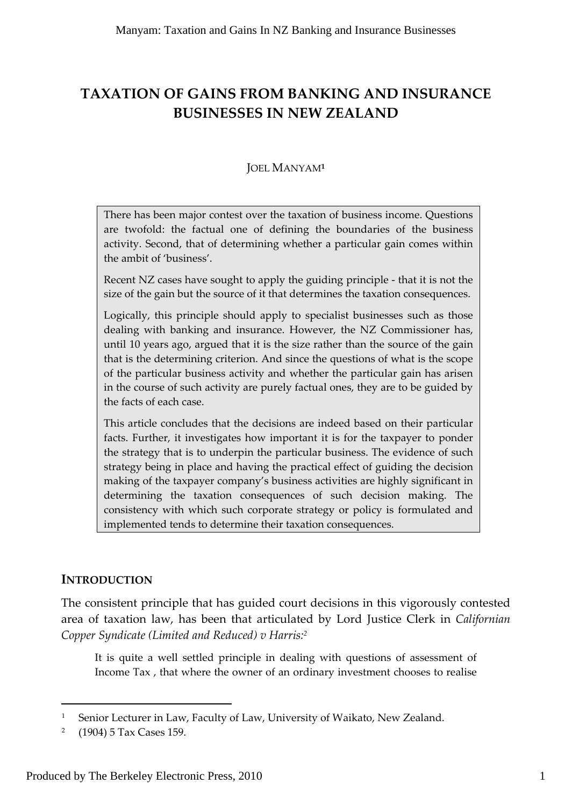## **TAXATION OF GAINS FROM BANKING AND INSURANCE BUSINESSES IN NEW ZEALAND**

#### JOEL MANYAM**<sup>1</sup>**

There has been major contest over the taxation of business income. Questions are twofold: the factual one of defining the boundaries of the business activity. Second, that of determining whether a particular gain comes within the ambit of 'business'.

Recent NZ cases have sought to apply the guiding principle ‐ that it is not the size of the gain but the source of it that determines the taxation consequences.

Logically, this principle should apply to specialist businesses such as those dealing with banking and insurance. However, the NZ Commissioner has, until 10 years ago, argued that it is the size rather than the source of the gain that is the determining criterion. And since the questions of what is the scope of the particular business activity and whether the particular gain has arisen in the course of such activity are purely factual ones, they are to be guided by the facts of each case.

This article concludes that the decisions are indeed based on their particular facts. Further, it investigates how important it is for the taxpayer to ponder the strategy that is to underpin the particular business. The evidence of such strategy being in place and having the practical effect of guiding the decision making of the taxpayer company's business activities are highly significant in determining the taxation consequences of such decision making. The consistency with which such corporate strategy or policy is formulated and implemented tends to determine their taxation consequences.

#### **INTRODUCTION**

The consistent principle that has guided court decisions in this vigorously contested area of taxation law, has been that articulated by Lord Justice Clerk in *Californian Copper Syndicate (Limited and Reduced) v Harris:2*

It is quite a well settled principle in dealing with questions of assessment of Income Tax , that where the owner of an ordinary investment chooses to realise

<u> 1989 - Johann Barn, mars ar breithinn ar chuid ann an t-</u>

<sup>&</sup>lt;sup>1</sup> Senior Lecturer in Law, Faculty of Law, University of Waikato, New Zealand.

<sup>2</sup> (1904) 5 Tax Cases 159.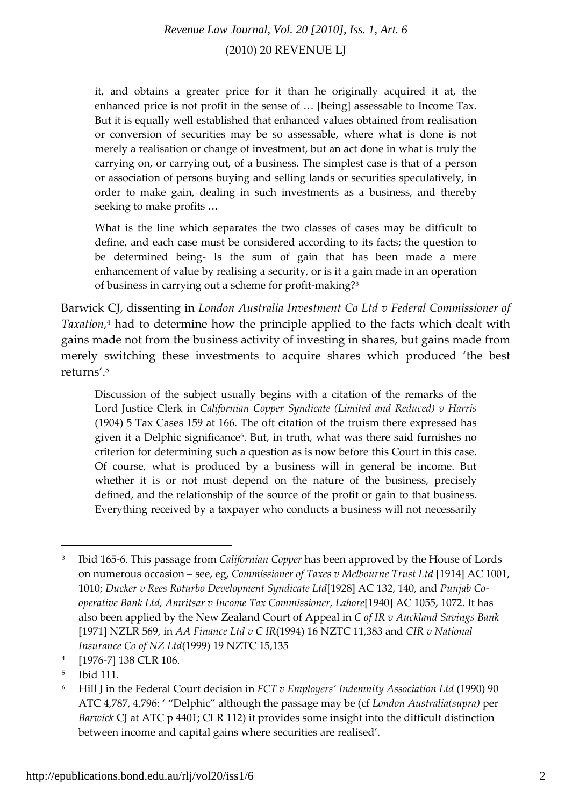it, and obtains a greater price for it than he originally acquired it at, the enhanced price is not profit in the sense of … [being] assessable to Income Tax. But it is equally well established that enhanced values obtained from realisation or conversion of securities may be so assessable, where what is done is not merely a realisation or change of investment, but an act done in what is truly the carrying on, or carrying out, of a business. The simplest case is that of a person or association of persons buying and selling lands or securities speculatively, in order to make gain, dealing in such investments as a business, and thereby seeking to make profits …

What is the line which separates the two classes of cases may be difficult to define, and each case must be considered according to its facts; the question to be determined being- Is the sum of gain that has been made a mere enhancement of value by realising a security, or is it a gain made in an operation of business in carrying out a scheme for profit-making?<sup>3</sup>

Barwick CJ, dissenting in *London Australia Investment Co Ltd v Federal Commissioner of Taxation,*<sup>4</sup> had to determine how the principle applied to the facts which dealt with gains made not from the business activity of investing in shares, but gains made from merely switching these investments to acquire shares which produced 'the best returns'.5

Discussion of the subject usually begins with a citation of the remarks of the Lord Justice Clerk in *Californian Copper Syndicate (Limited and Reduced) v Harris* (1904) 5 Tax Cases 159 at 166. The oft citation of the truism there expressed has given it a Delphic significance6. But, in truth, what was there said furnishes no criterion for determining such a question as is now before this Court in this case. Of course, what is produced by a business will in general be income. But whether it is or not must depend on the nature of the business, precisely defined, and the relationship of the source of the profit or gain to that business. Everything received by a taxpayer who conducts a business will not necessarily

<u> 1989 - Johann Barbara, martxa alemaniar a</u>

<sup>3</sup> Ibid 165‐6. This passage from *Californian Copper* has been approved by the House of Lords on numerous occasion – see, eg, *Commissioner of Taxes v Melbourne Trust Ltd* [1914] AC 1001, 1010; *Ducker v Rees Roturbo Development Syndicate Ltd*[1928] AC 132, 140, and *Punjab Co‐ operative Bank Ltd, Amritsar v Income Tax Commissioner, Lahore*[1940] AC 1055, 1072. It has also been applied by the New Zealand Court of Appeal in *C of IR v Auckland Savings Bank* [1971] NZLR 569, in *AA Finance Ltd v C IR*(1994) 16 NZTC 11,383 and *CIR v National Insurance Co of NZ Ltd*(1999) 19 NZTC 15,135

<sup>4</sup> [1976‐7] 138 CLR 106.

<sup>5</sup> Ibid 111.

<sup>6</sup> Hill J in the Federal Court decision in *FCT v Employers' Indemnity Association Ltd* (1990) 90 ATC 4,787, 4,796: ' "Delphic" although the passage may be (cf *London Australia(supra)* per *Barwick* CJ at ATC p 4401; CLR 112) it provides some insight into the difficult distinction between income and capital gains where securities are realised'.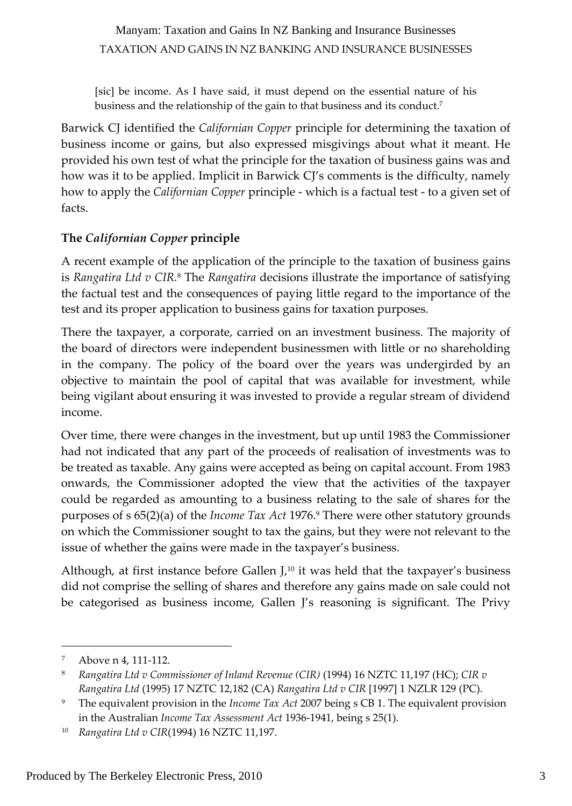[sic] be income. As I have said, it must depend on the essential nature of his business and the relationship of the gain to that business and its conduct.7

Barwick CJ identified the *Californian Copper* principle for determining the taxation of business income or gains, but also expressed misgivings about what it meant. He provided his own test of what the principle for the taxation of business gains was and how was it to be applied. Implicit in Barwick CJ's comments is the difficulty, namely how to apply the *Californian Copper* principle ‐ which is a factual test ‐ to a given set of facts.

#### **The** *Californian Copper* **principle**

A recent example of the application of the principle to the taxation of business gains is *Rangatira Ltd v CIR.*<sup>8</sup> The *Rangatira* decisions illustrate the importance of satisfying the factual test and the consequences of paying little regard to the importance of the test and its proper application to business gains for taxation purposes.

There the taxpayer, a corporate, carried on an investment business. The majority of the board of directors were independent businessmen with little or no shareholding in the company. The policy of the board over the years was undergirded by an objective to maintain the pool of capital that was available for investment, while being vigilant about ensuring it was invested to provide a regular stream of dividend income.

Over time, there were changes in the investment, but up until 1983 the Commissioner had not indicated that any part of the proceeds of realisation of investments was to be treated as taxable. Any gains were accepted as being on capital account. From 1983 onwards, the Commissioner adopted the view that the activities of the taxpayer could be regarded as amounting to a business relating to the sale of shares for the purposes of s 65(2)(a) of the *Income Tax Act* 1976.9 There were other statutory grounds on which the Commissioner sought to tax the gains, but they were not relevant to the issue of whether the gains were made in the taxpayer's business.

Although, at first instance before Gallen  $J<sub>10</sub>$  it was held that the taxpayer's business did not comprise the selling of shares and therefore any gains made on sale could not be categorised as business income, Gallen J's reasoning is significant. The Privy

<sup>&</sup>lt;sup>7</sup> Above n 4, 111-112.

<sup>8</sup> *Rangatira Ltd v Commissioner of Inland Revenue (CIR)* (1994) 16 NZTC 11,197 (HC); *CIR v Rangatira Ltd* (1995) 17 NZTC 12,182 (CA) *Rangatira Ltd v CIR* [1997] 1 NZLR 129 (PC).

<sup>9</sup> The equivalent provision in the *Income Tax Act* 2007 being s CB 1. The equivalent provision in the Australian *Income Tax Assessment Act* 1936‐1941, being s 25(1).

<sup>10</sup> *Rangatira Ltd v CIR*(1994) 16 NZTC 11,197.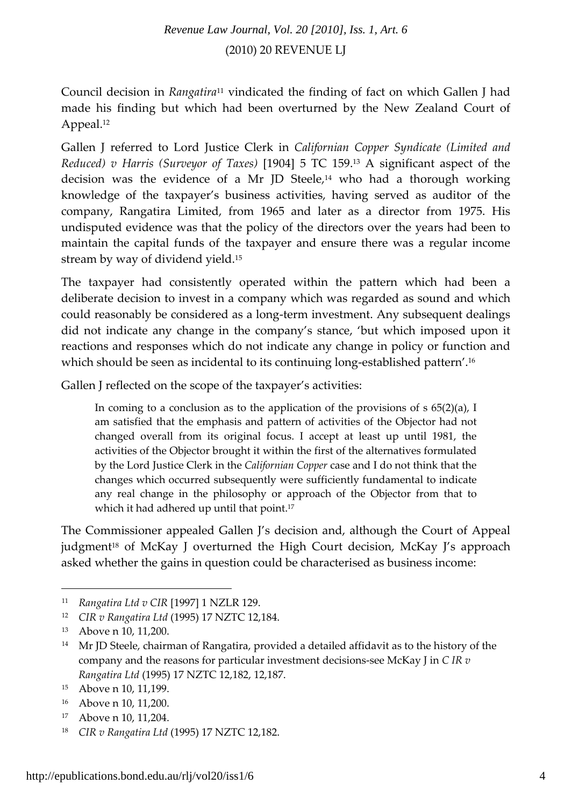Council decision in *Rangatira*<sup>11</sup> vindicated the finding of fact on which Gallen J had made his finding but which had been overturned by the New Zealand Court of Appeal.12

Gallen J referred to Lord Justice Clerk in *Californian Copper Syndicate (Limited and Reduced) v Harris (Surveyor of Taxes)* [1904] 5 TC 159.13 A significant aspect of the decision was the evidence of a Mr JD Steele, $14$  who had a thorough working knowledge of the taxpayer's business activities, having served as auditor of the company, Rangatira Limited, from 1965 and later as a director from 1975. His undisputed evidence was that the policy of the directors over the years had been to maintain the capital funds of the taxpayer and ensure there was a regular income stream by way of dividend yield.15

The taxpayer had consistently operated within the pattern which had been a deliberate decision to invest in a company which was regarded as sound and which could reasonably be considered as a long-term investment. Any subsequent dealings did not indicate any change in the company's stance, 'but which imposed upon it reactions and responses which do not indicate any change in policy or function and which should be seen as incidental to its continuing long‐established pattern'.16

Gallen J reflected on the scope of the taxpayer's activities:

In coming to a conclusion as to the application of the provisions of  $s$  65(2)(a), I am satisfied that the emphasis and pattern of activities of the Objector had not changed overall from its original focus. I accept at least up until 1981, the activities of the Objector brought it within the first of the alternatives formulated by the Lord Justice Clerk in the *Californian Copper* case and I do not think that the changes which occurred subsequently were sufficiently fundamental to indicate any real change in the philosophy or approach of the Objector from that to which it had adhered up until that point.<sup>17</sup>

The Commissioner appealed Gallen J's decision and, although the Court of Appeal judgment<sup>18</sup> of McKay J overturned the High Court decision, McKay J's approach asked whether the gains in question could be characterised as business income:

<sup>11</sup> *Rangatira Ltd v CIR* [1997] 1 NZLR 129.

<sup>12</sup> *CIR v Rangatira Ltd* (1995) 17 NZTC 12,184.

<sup>&</sup>lt;sup>13</sup> Above n 10, 11,200.

<sup>&</sup>lt;sup>14</sup> Mr JD Steele, chairman of Rangatira, provided a detailed affidavit as to the history of the company and the reasons for particular investment decisions‐see McKay J in *C IR v Rangatira Ltd* (1995) 17 NZTC 12,182, 12,187.

<sup>15</sup> Above n 10, 11,199.

<sup>&</sup>lt;sup>16</sup> Above n 10, 11,200.

<sup>&</sup>lt;sup>17</sup> Above n 10, 11,204.

<sup>18</sup> *CIR v Rangatira Ltd* (1995) 17 NZTC 12,182.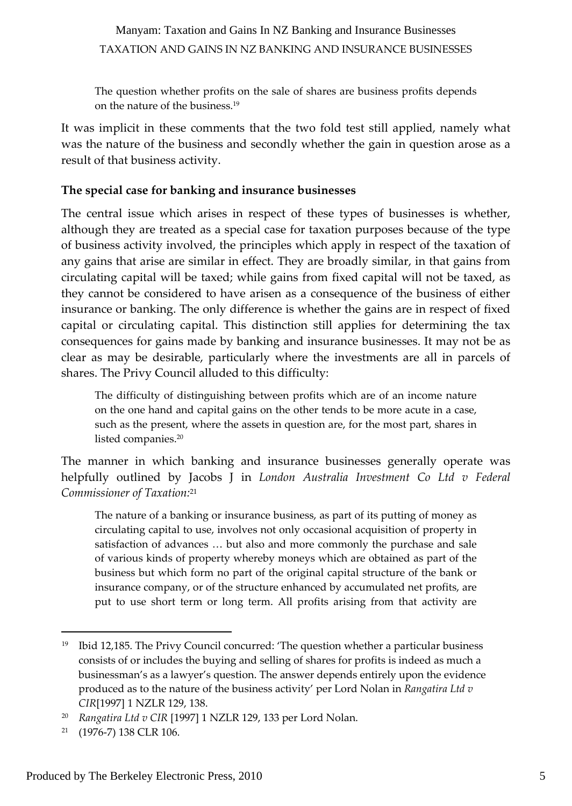The question whether profits on the sale of shares are business profits depends on the nature of the business.19

It was implicit in these comments that the two fold test still applied, namely what was the nature of the business and secondly whether the gain in question arose as a result of that business activity.

#### **The special case for banking and insurance businesses**

The central issue which arises in respect of these types of businesses is whether, although they are treated as a special case for taxation purposes because of the type of business activity involved, the principles which apply in respect of the taxation of any gains that arise are similar in effect. They are broadly similar, in that gains from circulating capital will be taxed; while gains from fixed capital will not be taxed, as they cannot be considered to have arisen as a consequence of the business of either insurance or banking. The only difference is whether the gains are in respect of fixed capital or circulating capital. This distinction still applies for determining the tax consequences for gains made by banking and insurance businesses. It may not be as clear as may be desirable, particularly where the investments are all in parcels of shares. The Privy Council alluded to this difficulty:

The difficulty of distinguishing between profits which are of an income nature on the one hand and capital gains on the other tends to be more acute in a case, such as the present, where the assets in question are, for the most part, shares in listed companies.20

The manner in which banking and insurance businesses generally operate was helpfully outlined by Jacobs J in *London Australia Investment Co Ltd v Federal Commissioner of Taxation:*<sup>21</sup>

The nature of a banking or insurance business, as part of its putting of money as circulating capital to use, involves not only occasional acquisition of property in satisfaction of advances … but also and more commonly the purchase and sale of various kinds of property whereby moneys which are obtained as part of the business but which form no part of the original capital structure of the bank or insurance company, or of the structure enhanced by accumulated net profits, are put to use short term or long term. All profits arising from that activity are

<sup>&</sup>lt;sup>19</sup> Ibid 12,185. The Privy Council concurred: 'The question whether a particular business consists of or includes the buying and selling of shares for profits is indeed as much a businessman's as a lawyer's question. The answer depends entirely upon the evidence produced as to the nature of the business activity' per Lord Nolan in *Rangatira Ltd v CIR*[1997] 1 NZLR 129, 138.

<sup>20</sup> *Rangatira Ltd v CIR* [1997] 1 NZLR 129, 133 per Lord Nolan.

<sup>21</sup> (1976‐7) 138 CLR 106.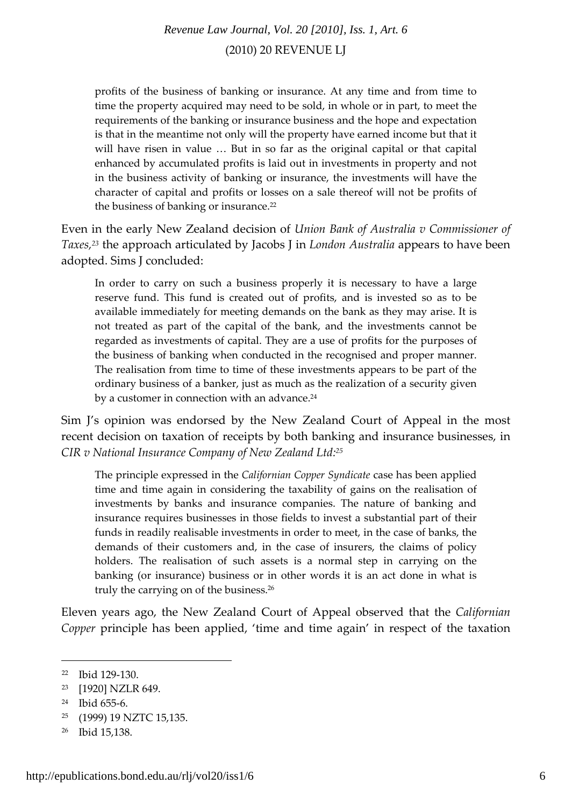profits of the business of banking or insurance. At any time and from time to time the property acquired may need to be sold, in whole or in part, to meet the requirements of the banking or insurance business and the hope and expectation is that in the meantime not only will the property have earned income but that it will have risen in value ... But in so far as the original capital or that capital enhanced by accumulated profits is laid out in investments in property and not in the business activity of banking or insurance, the investments will have the character of capital and profits or losses on a sale thereof will not be profits of the business of banking or insurance.<sup>22</sup>

Even in the early New Zealand decision of *Union Bank of Australia v Commissioner of Taxes,23* the approach articulated by Jacobs J in *London Australia* appears to have been adopted. Sims J concluded:

In order to carry on such a business properly it is necessary to have a large reserve fund. This fund is created out of profits, and is invested so as to be available immediately for meeting demands on the bank as they may arise. It is not treated as part of the capital of the bank, and the investments cannot be regarded as investments of capital. They are a use of profits for the purposes of the business of banking when conducted in the recognised and proper manner. The realisation from time to time of these investments appears to be part of the ordinary business of a banker, just as much as the realization of a security given by a customer in connection with an advance.<sup>24</sup>

Sim J's opinion was endorsed by the New Zealand Court of Appeal in the most recent decision on taxation of receipts by both banking and insurance businesses, in *CIR v National Insurance Company of New Zealand Ltd:25*

The principle expressed in the *Californian Copper Syndicate* case has been applied time and time again in considering the taxability of gains on the realisation of investments by banks and insurance companies. The nature of banking and insurance requires businesses in those fields to invest a substantial part of their funds in readily realisable investments in order to meet, in the case of banks, the demands of their customers and, in the case of insurers, the claims of policy holders. The realisation of such assets is a normal step in carrying on the banking (or insurance) business or in other words it is an act done in what is truly the carrying on of the business.26

Eleven years ago, the New Zealand Court of Appeal observed that the *Californian Copper* principle has been applied, 'time and time again' in respect of the taxation

<sup>22</sup> Ibid 129‐130.

<sup>23</sup> [1920] NZLR 649.

<sup>24</sup> Ibid 655‐6.

<sup>25</sup> (1999) 19 NZTC 15,135.

<sup>26</sup> Ibid 15,138.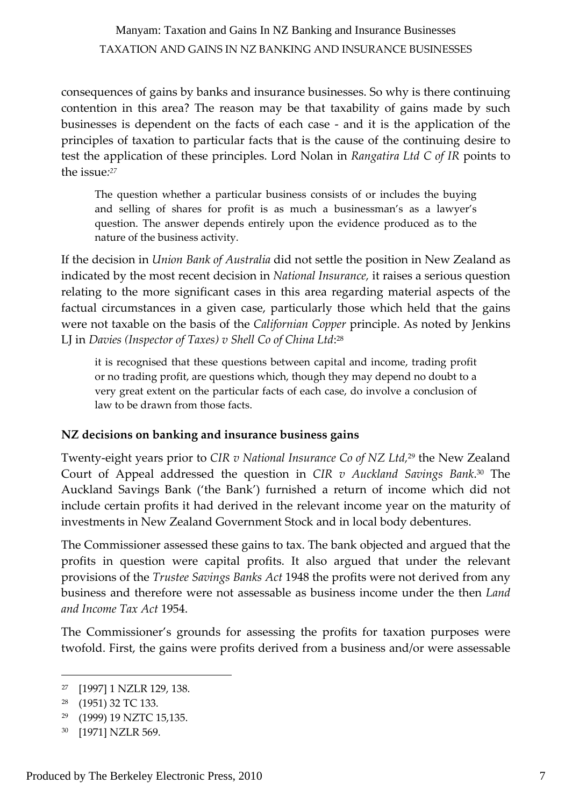consequences of gains by banks and insurance businesses. So why is there continuing contention in this area? The reason may be that taxability of gains made by such businesses is dependent on the facts of each case ‐ and it is the application of the principles of taxation to particular facts that is the cause of the continuing desire to test the application of these principles. Lord Nolan in *Rangatira Ltd C of IR* points to the issue*: 27*

The question whether a particular business consists of or includes the buying and selling of shares for profit is as much a businessman's as a lawyer's question. The answer depends entirely upon the evidence produced as to the nature of the business activity.

If the decision in *Union Bank of Australia* did not settle the position in New Zealand as indicated by the most recent decision in *National Insurance,* it raises a serious question relating to the more significant cases in this area regarding material aspects of the factual circumstances in a given case, particularly those which held that the gains were not taxable on the basis of the *Californian Copper* principle. As noted by Jenkins LJ in *Davies (Inspector of Taxes) v Shell Co of China Ltd*: 28

it is recognised that these questions between capital and income, trading profit or no trading profit, are questions which, though they may depend no doubt to a very great extent on the particular facts of each case, do involve a conclusion of law to be drawn from those facts.

#### **NZ decisions on banking and insurance business gains**

Twenty‐eight years prior to *CIR v National Insurance Co of NZ Ltd,*<sup>29</sup> the New Zealand Court of Appeal addressed the question in *CIR v Auckland Savings Bank*. <sup>30</sup> The Auckland Savings Bank ('the Bank') furnished a return of income which did not include certain profits it had derived in the relevant income year on the maturity of investments in New Zealand Government Stock and in local body debentures.

The Commissioner assessed these gains to tax. The bank objected and argued that the profits in question were capital profits. It also argued that under the relevant provisions of the *Trustee Savings Banks Act* 1948 the profits were not derived from any business and therefore were not assessable as business income under the then *Land and Income Tax Act* 1954.

The Commissioner's grounds for assessing the profits for taxation purposes were twofold. First, the gains were profits derived from a business and/or were assessable

<sup>27</sup> [1997] 1 NZLR 129, 138.

<sup>28</sup> (1951) 32 TC 133.

<sup>29</sup> (1999) 19 NZTC 15,135.

<sup>30</sup> [1971] NZLR 569.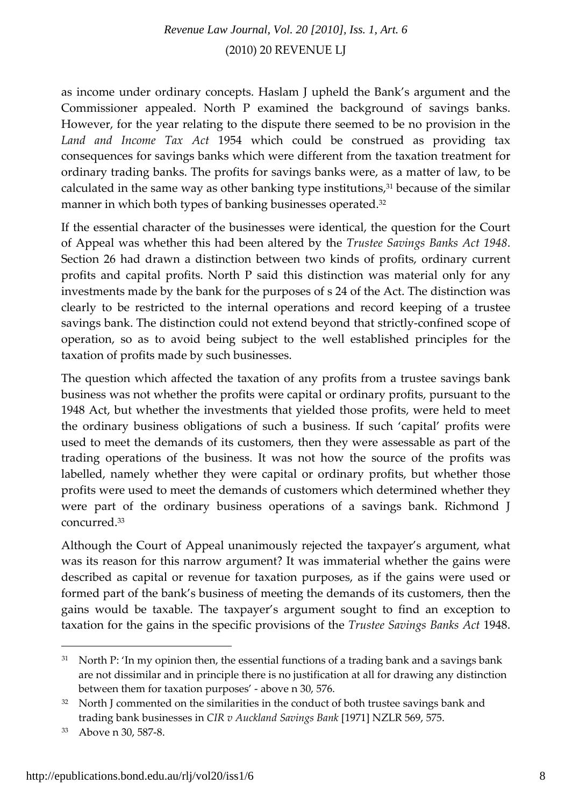as income under ordinary concepts. Haslam J upheld the Bank's argument and the Commissioner appealed. North P examined the background of savings banks. However, for the year relating to the dispute there seemed to be no provision in the *Land and Income Tax Act* 1954 which could be construed as providing tax consequences for savings banks which were different from the taxation treatment for ordinary trading banks. The profits for savings banks were, as a matter of law, to be calculated in the same way as other banking type institutions, $31$  because of the similar manner in which both types of banking businesses operated.<sup>32</sup>

If the essential character of the businesses were identical, the question for the Court of Appeal was whether this had been altered by the *Trustee Savings Banks Act 1948*. Section 26 had drawn a distinction between two kinds of profits, ordinary current profits and capital profits. North P said this distinction was material only for any investments made by the bank for the purposes of s 24 of the Act. The distinction was clearly to be restricted to the internal operations and record keeping of a trustee savings bank. The distinction could not extend beyond that strictly‐confined scope of operation, so as to avoid being subject to the well established principles for the taxation of profits made by such businesses.

The question which affected the taxation of any profits from a trustee savings bank business was not whether the profits were capital or ordinary profits, pursuant to the 1948 Act, but whether the investments that yielded those profits, were held to meet the ordinary business obligations of such a business. If such 'capital' profits were used to meet the demands of its customers, then they were assessable as part of the trading operations of the business. It was not how the source of the profits was labelled, namely whether they were capital or ordinary profits, but whether those profits were used to meet the demands of customers which determined whether they were part of the ordinary business operations of a savings bank. Richmond J concurred.33

Although the Court of Appeal unanimously rejected the taxpayer's argument, what was its reason for this narrow argument? It was immaterial whether the gains were described as capital or revenue for taxation purposes, as if the gains were used or formed part of the bank's business of meeting the demands of its customers, then the gains would be taxable. The taxpayer's argument sought to find an exception to taxation for the gains in the specific provisions of the *Trustee Savings Banks Act* 1948.

 $31$  North P: 'In my opinion then, the essential functions of a trading bank and a savings bank are not dissimilar and in principle there is no justification at all for drawing any distinction between them for taxation purposes' ‐ above n 30, 576.

 $32$  North J commented on the similarities in the conduct of both trustee savings bank and trading bank businesses in *CIR v Auckland Savings Bank* [1971] NZLR 569, 575.

<sup>33</sup> Above n 30, 587‐8.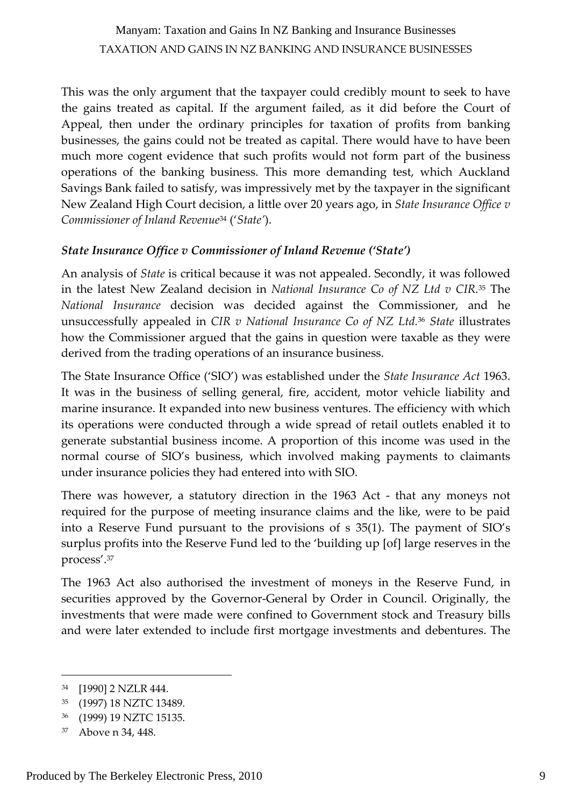This was the only argument that the taxpayer could credibly mount to seek to have the gains treated as capital. If the argument failed, as it did before the Court of Appeal, then under the ordinary principles for taxation of profits from banking businesses, the gains could not be treated as capital. There would have to have been much more cogent evidence that such profits would not form part of the business operations of the banking business. This more demanding test, which Auckland Savings Bank failed to satisfy, was impressively met by the taxpayer in the significant New Zealand High Court decision, a little over 20 years ago, in *State Insurance Office v Commissioner of Inland Revenue*<sup>34</sup> ('*State'*).

#### *State Insurance Office v Commissioner of Inland Revenue ('State')*

An analysis of *State* is critical because it was not appealed. Secondly, it was followed in the latest New Zealand decision in *National Insurance Co of NZ Ltd v CIR.*<sup>35</sup> The *National Insurance* decision was decided against the Commissioner, and he unsuccessfully appealed in *CIR v National Insurance Co of NZ Ltd.*<sup>36</sup> *State* illustrates how the Commissioner argued that the gains in question were taxable as they were derived from the trading operations of an insurance business.

The State Insurance Office ('SIO') was established under the *State Insurance Act* 1963. It was in the business of selling general, fire, accident, motor vehicle liability and marine insurance. It expanded into new business ventures. The efficiency with which its operations were conducted through a wide spread of retail outlets enabled it to generate substantial business income. A proportion of this income was used in the normal course of SIO's business, which involved making payments to claimants under insurance policies they had entered into with SIO.

There was however, a statutory direction in the 1963 Act - that any moneys not required for the purpose of meeting insurance claims and the like, were to be paid into a Reserve Fund pursuant to the provisions of s 35(1). The payment of SIO's surplus profits into the Reserve Fund led to the 'building up [of] large reserves in the process'.37

The 1963 Act also authorised the investment of moneys in the Reserve Fund, in securities approved by the Governor‐General by Order in Council. Originally, the investments that were made were confined to Government stock and Treasury bills and were later extended to include first mortgage investments and debentures. The

<sup>34</sup> [1990] 2 NZLR 444.

<sup>35</sup> (1997) 18 NZTC 13489.

<sup>36</sup> (1999) 19 NZTC 15135.

<sup>37</sup> Above n 34, 448.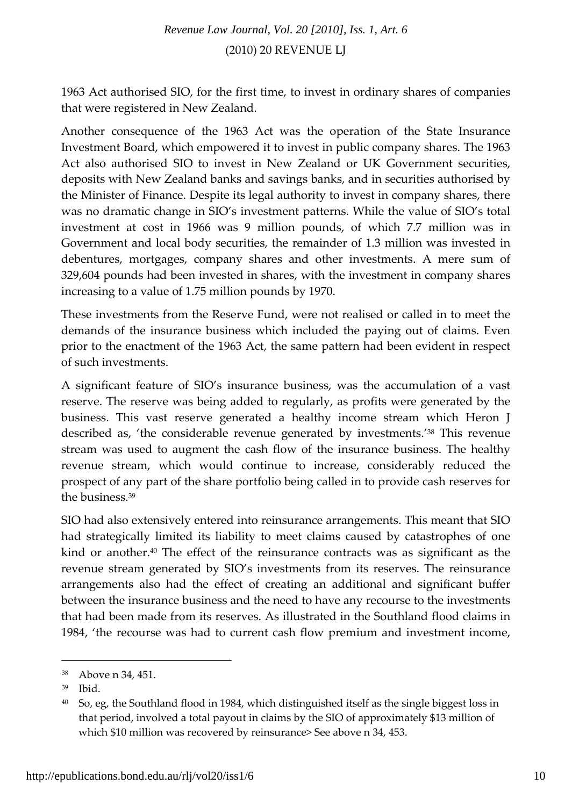1963 Act authorised SIO, for the first time, to invest in ordinary shares of companies that were registered in New Zealand.

Another consequence of the 1963 Act was the operation of the State Insurance Investment Board, which empowered it to invest in public company shares. The 1963 Act also authorised SIO to invest in New Zealand or UK Government securities, deposits with New Zealand banks and savings banks, and in securities authorised by the Minister of Finance. Despite its legal authority to invest in company shares, there was no dramatic change in SIO's investment patterns. While the value of SIO's total investment at cost in 1966 was 9 million pounds, of which 7.7 million was in Government and local body securities, the remainder of 1.3 million was invested in debentures, mortgages, company shares and other investments. A mere sum of 329,604 pounds had been invested in shares, with the investment in company shares increasing to a value of 1.75 million pounds by 1970.

These investments from the Reserve Fund, were not realised or called in to meet the demands of the insurance business which included the paying out of claims. Even prior to the enactment of the 1963 Act, the same pattern had been evident in respect of such investments.

A significant feature of SIO's insurance business, was the accumulation of a vast reserve. The reserve was being added to regularly, as profits were generated by the business. This vast reserve generated a healthy income stream which Heron J described as, 'the considerable revenue generated by investments.'38 This revenue stream was used to augment the cash flow of the insurance business. The healthy revenue stream, which would continue to increase, considerably reduced the prospect of any part of the share portfolio being called in to provide cash reserves for the business.39

SIO had also extensively entered into reinsurance arrangements. This meant that SIO had strategically limited its liability to meet claims caused by catastrophes of one kind or another.40 The effect of the reinsurance contracts was as significant as the revenue stream generated by SIO's investments from its reserves. The reinsurance arrangements also had the effect of creating an additional and significant buffer between the insurance business and the need to have any recourse to the investments that had been made from its reserves. As illustrated in the Southland flood claims in 1984, 'the recourse was had to current cash flow premium and investment income,

<sup>38</sup> Above n 34, 451.

<sup>39</sup> Ibid.

<sup>&</sup>lt;sup>40</sup> So, eg, the Southland flood in 1984, which distinguished itself as the single biggest loss in that period, involved a total payout in claims by the SIO of approximately \$13 million of which \$10 million was recovered by reinsurance> See above n 34, 453.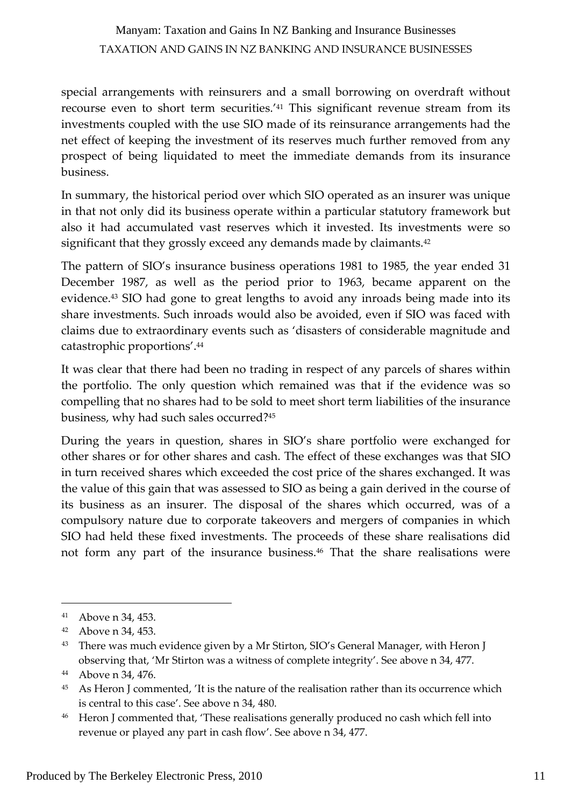special arrangements with reinsurers and a small borrowing on overdraft without recourse even to short term securities.'41 This significant revenue stream from its investments coupled with the use SIO made of its reinsurance arrangements had the net effect of keeping the investment of its reserves much further removed from any prospect of being liquidated to meet the immediate demands from its insurance business.

In summary, the historical period over which SIO operated as an insurer was unique in that not only did its business operate within a particular statutory framework but also it had accumulated vast reserves which it invested. Its investments were so significant that they grossly exceed any demands made by claimants.<sup>42</sup>

The pattern of SIO's insurance business operations 1981 to 1985, the year ended 31 December 1987, as well as the period prior to 1963, became apparent on the evidence.43 SIO had gone to great lengths to avoid any inroads being made into its share investments. Such inroads would also be avoided, even if SIO was faced with claims due to extraordinary events such as 'disasters of considerable magnitude and catastrophic proportions'.44

It was clear that there had been no trading in respect of any parcels of shares within the portfolio. The only question which remained was that if the evidence was so compelling that no shares had to be sold to meet short term liabilities of the insurance business, why had such sales occurred?45

During the years in question, shares in SIO's share portfolio were exchanged for other shares or for other shares and cash. The effect of these exchanges was that SIO in turn received shares which exceeded the cost price of the shares exchanged. It was the value of this gain that was assessed to SIO as being a gain derived in the course of its business as an insurer. The disposal of the shares which occurred, was of a compulsory nature due to corporate takeovers and mergers of companies in which SIO had held these fixed investments. The proceeds of these share realisations did not form any part of the insurance business.46 That the share realisations were

<sup>41</sup> Above n 34, 453.

<sup>42</sup> Above n 34, 453.

<sup>&</sup>lt;sup>43</sup> There was much evidence given by a Mr Stirton, SIO's General Manager, with Heron J observing that, 'Mr Stirton was a witness of complete integrity'. See above n 34, 477.

<sup>44</sup> Above n 34, 476.

<sup>&</sup>lt;sup>45</sup> As Heron J commented, 'It is the nature of the realisation rather than its occurrence which is central to this case'. See above n 34, 480.

<sup>&</sup>lt;sup>46</sup> Heron J commented that, 'These realisations generally produced no cash which fell into revenue or played any part in cash flow'. See above n 34, 477.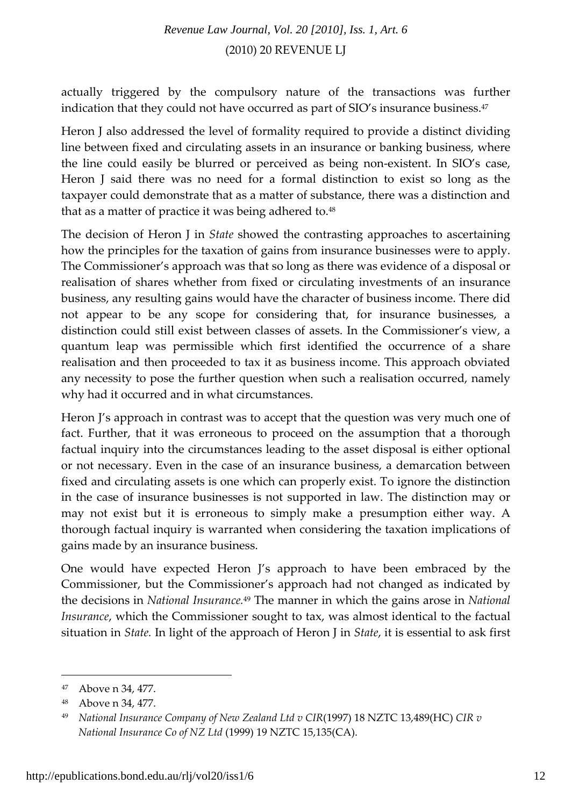actually triggered by the compulsory nature of the transactions was further indication that they could not have occurred as part of SIO's insurance business.47

Heron J also addressed the level of formality required to provide a distinct dividing line between fixed and circulating assets in an insurance or banking business, where the line could easily be blurred or perceived as being non‐existent. In SIO's case, Heron J said there was no need for a formal distinction to exist so long as the taxpayer could demonstrate that as a matter of substance, there was a distinction and that as a matter of practice it was being adhered to.<sup>48</sup>

The decision of Heron J in *State* showed the contrasting approaches to ascertaining how the principles for the taxation of gains from insurance businesses were to apply. The Commissioner's approach was that so long as there was evidence of a disposal or realisation of shares whether from fixed or circulating investments of an insurance business, any resulting gains would have the character of business income. There did not appear to be any scope for considering that, for insurance businesses, a distinction could still exist between classes of assets. In the Commissioner's view, a quantum leap was permissible which first identified the occurrence of a share realisation and then proceeded to tax it as business income. This approach obviated any necessity to pose the further question when such a realisation occurred, namely why had it occurred and in what circumstances.

Heron J's approach in contrast was to accept that the question was very much one of fact. Further, that it was erroneous to proceed on the assumption that a thorough factual inquiry into the circumstances leading to the asset disposal is either optional or not necessary. Even in the case of an insurance business, a demarcation between fixed and circulating assets is one which can properly exist. To ignore the distinction in the case of insurance businesses is not supported in law. The distinction may or may not exist but it is erroneous to simply make a presumption either way. A thorough factual inquiry is warranted when considering the taxation implications of gains made by an insurance business.

One would have expected Heron J's approach to have been embraced by the Commissioner, but the Commissioner's approach had not changed as indicated by the decisions in *National Insurance.*<sup>49</sup> The manner in which the gains arose in *National Insurance*, which the Commissioner sought to tax, was almost identical to the factual situation in *State.* In light of the approach of Heron J in *State*, it is essential to ask first

<sup>47</sup> Above n 34, 477.

<sup>48</sup> Above n 34, 477.

<sup>49</sup> *National Insurance Company of New Zealand Ltd v CIR*(1997) 18 NZTC 13,489(HC) *CIR v National Insurance Co of NZ Ltd* (1999) 19 NZTC 15,135(CA).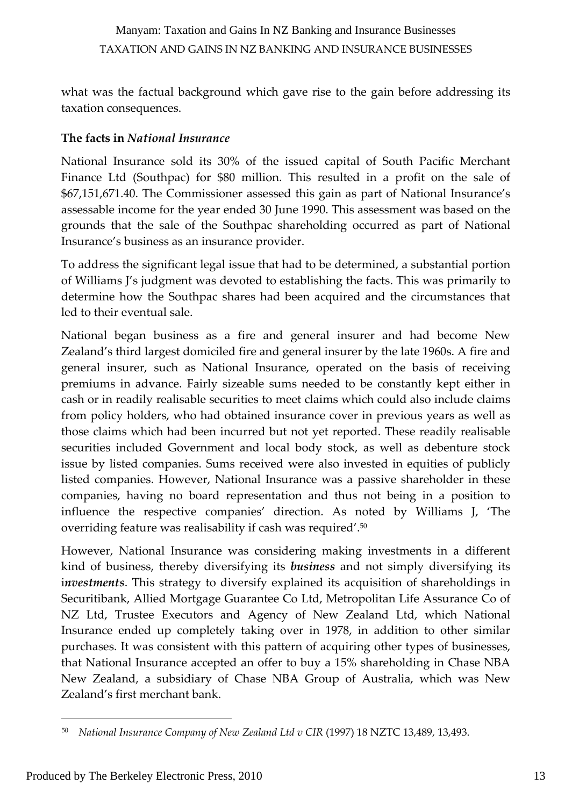what was the factual background which gave rise to the gain before addressing its taxation consequences.

#### **The facts in** *National Insurance*

National Insurance sold its 30% of the issued capital of South Pacific Merchant Finance Ltd (Southpac) for \$80 million. This resulted in a profit on the sale of \$67,151,671.40. The Commissioner assessed this gain as part of National Insurance's assessable income for the year ended 30 June 1990. This assessment was based on the grounds that the sale of the Southpac shareholding occurred as part of National Insurance's business as an insurance provider.

To address the significant legal issue that had to be determined, a substantial portion of Williams J's judgment was devoted to establishing the facts. This was primarily to determine how the Southpac shares had been acquired and the circumstances that led to their eventual sale.

National began business as a fire and general insurer and had become New Zealand's third largest domiciled fire and general insurer by the late 1960s. A fire and general insurer, such as National Insurance, operated on the basis of receiving premiums in advance. Fairly sizeable sums needed to be constantly kept either in cash or in readily realisable securities to meet claims which could also include claims from policy holders, who had obtained insurance cover in previous years as well as those claims which had been incurred but not yet reported. These readily realisable securities included Government and local body stock, as well as debenture stock issue by listed companies. Sums received were also invested in equities of publicly listed companies. However, National Insurance was a passive shareholder in these companies, having no board representation and thus not being in a position to influence the respective companies' direction. As noted by Williams J, 'The overriding feature was realisability if cash was required'.50

However, National Insurance was considering making investments in a different kind of business, thereby diversifying its *business* and not simply diversifying its i*nvestments*. This strategy to diversify explained its acquisition of shareholdings in Securitibank, Allied Mortgage Guarantee Co Ltd, Metropolitan Life Assurance Co of NZ Ltd, Trustee Executors and Agency of New Zealand Ltd, which National Insurance ended up completely taking over in 1978, in addition to other similar purchases. It was consistent with this pattern of acquiring other types of businesses, that National Insurance accepted an offer to buy a 15% shareholding in Chase NBA New Zealand, a subsidiary of Chase NBA Group of Australia, which was New Zealand's first merchant bank.

<sup>50</sup> *National Insurance Company of New Zealand Ltd v CIR* (1997) 18 NZTC 13,489, 13,493.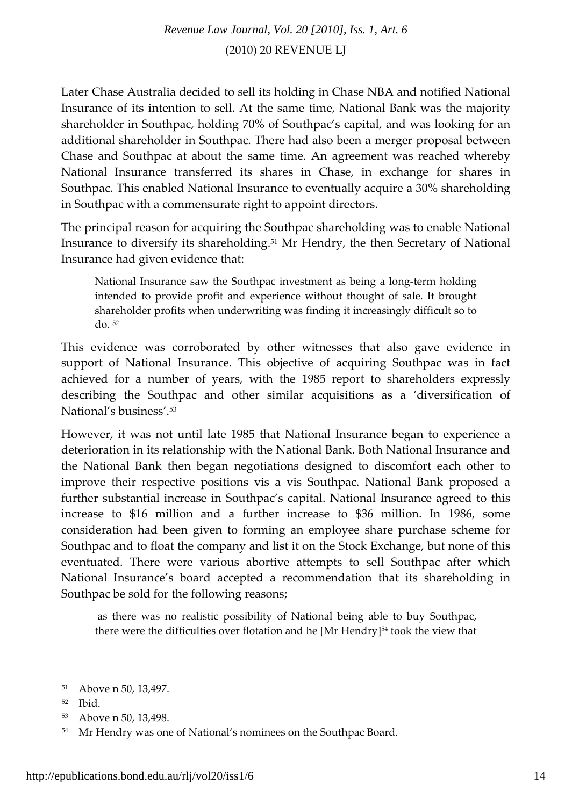Later Chase Australia decided to sell its holding in Chase NBA and notified National Insurance of its intention to sell. At the same time, National Bank was the majority shareholder in Southpac, holding 70% of Southpac's capital, and was looking for an additional shareholder in Southpac. There had also been a merger proposal between Chase and Southpac at about the same time. An agreement was reached whereby National Insurance transferred its shares in Chase, in exchange for shares in Southpac. This enabled National Insurance to eventually acquire a 30% shareholding in Southpac with a commensurate right to appoint directors.

The principal reason for acquiring the Southpac shareholding was to enable National Insurance to diversify its shareholding.51 Mr Hendry, the then Secretary of National Insurance had given evidence that:

National Insurance saw the Southpac investment as being a long‐term holding intended to provide profit and experience without thought of sale. It brought shareholder profits when underwriting was finding it increasingly difficult so to do. <sup>52</sup>

This evidence was corroborated by other witnesses that also gave evidence in support of National Insurance. This objective of acquiring Southpac was in fact achieved for a number of years, with the 1985 report to shareholders expressly describing the Southpac and other similar acquisitions as a 'diversification of National's business'.53

However, it was not until late 1985 that National Insurance began to experience a deterioration in its relationship with the National Bank. Both National Insurance and the National Bank then began negotiations designed to discomfort each other to improve their respective positions vis a vis Southpac. National Bank proposed a further substantial increase in Southpac's capital. National Insurance agreed to this increase to \$16 million and a further increase to \$36 million. In 1986, some consideration had been given to forming an employee share purchase scheme for Southpac and to float the company and list it on the Stock Exchange, but none of this eventuated. There were various abortive attempts to sell Southpac after which National Insurance's board accepted a recommendation that its shareholding in Southpac be sold for the following reasons;

as there was no realistic possibility of National being able to buy Southpac, there were the difficulties over flotation and he [Mr Hendry]<sup>54</sup> took the view that

<sup>51</sup> Above n 50, 13,497.

<sup>52</sup> Ibid.

<sup>53</sup> Above n 50, 13,498.

<sup>54</sup> Mr Hendry was one of National's nominees on the Southpac Board.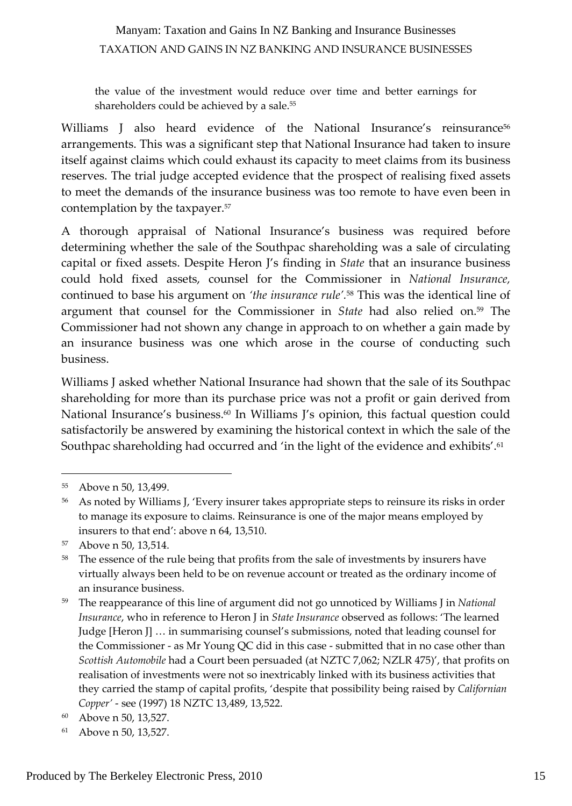the value of the investment would reduce over time and better earnings for shareholders could be achieved by a sale.<sup>55</sup>

Williams J also heard evidence of the National Insurance's reinsurance<sup>56</sup> arrangements. This was a significant step that National Insurance had taken to insure itself against claims which could exhaust its capacity to meet claims from its business reserves. The trial judge accepted evidence that the prospect of realising fixed assets to meet the demands of the insurance business was too remote to have even been in contemplation by the taxpayer.57

A thorough appraisal of National Insurance's business was required before determining whether the sale of the Southpac shareholding was a sale of circulating capital or fixed assets. Despite Heron J's finding in *State* that an insurance business could hold fixed assets, counsel for the Commissioner in *National Insurance,* continued to base his argument on *'the insurance rule'.*<sup>58</sup> This was the identical line of argument that counsel for the Commissioner in *State* had also relied on.59 The Commissioner had not shown any change in approach to on whether a gain made by an insurance business was one which arose in the course of conducting such business.

Williams J asked whether National Insurance had shown that the sale of its Southpac shareholding for more than its purchase price was not a profit or gain derived from National Insurance's business.<sup>60</sup> In Williams J's opinion, this factual question could satisfactorily be answered by examining the historical context in which the sale of the Southpac shareholding had occurred and 'in the light of the evidence and exhibits'.61

<sup>55</sup> Above n 50, 13,499.

<sup>&</sup>lt;sup>56</sup> As noted by Williams J, 'Every insurer takes appropriate steps to reinsure its risks in order to manage its exposure to claims. Reinsurance is one of the major means employed by insurers to that end': above n 64, 13,510.

<sup>57</sup> Above n 50, 13,514.

<sup>&</sup>lt;sup>58</sup> The essence of the rule being that profits from the sale of investments by insurers have virtually always been held to be on revenue account or treated as the ordinary income of an insurance business.

<sup>59</sup> The reappearance of this line of argument did not go unnoticed by Williams J in *National Insurance*, who in reference to Heron J in *State Insurance* observed as follows: 'The learned Judge [Heron J] … in summarising counsel's submissions, noted that leading counsel for the Commissioner ‐ as Mr Young QC did in this case ‐ submitted that in no case other than *Scottish Automobile* had a Court been persuaded (at NZTC 7,062; NZLR 475)', that profits on realisation of investments were not so inextricably linked with its business activities that they carried the stamp of capital profits, 'despite that possibility being raised by *Californian Copper'* ‐ see (1997) 18 NZTC 13,489, 13,522.

<sup>60</sup> Above n 50, 13,527.

<sup>61</sup> Above n 50, 13,527.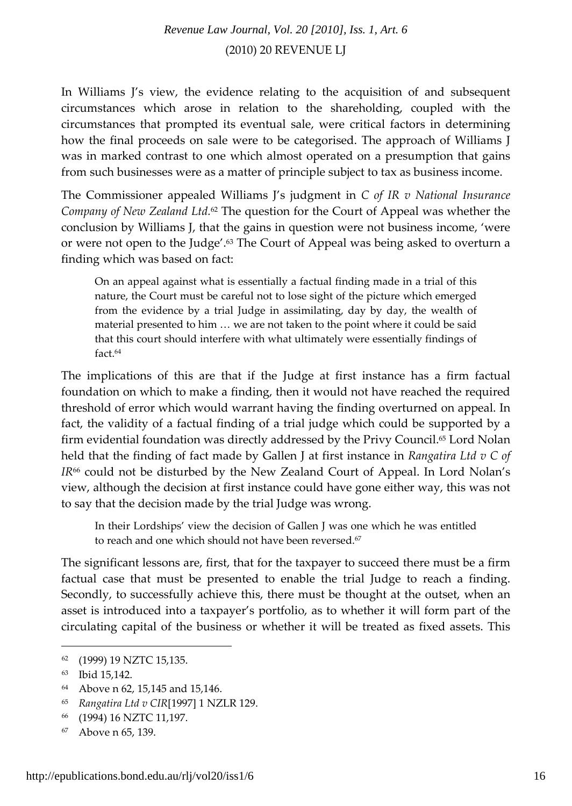In Williams J's view, the evidence relating to the acquisition of and subsequent circumstances which arose in relation to the shareholding, coupled with the circumstances that prompted its eventual sale, were critical factors in determining how the final proceeds on sale were to be categorised. The approach of Williams J was in marked contrast to one which almost operated on a presumption that gains from such businesses were as a matter of principle subject to tax as business income.

The Commissioner appealed Williams J's judgment in *C of IR v National Insurance Company of New Zealand Ltd.*<sup>62</sup> The question for the Court of Appeal was whether the conclusion by Williams J, that the gains in question were not business income, 'were or were not open to the Judge'.<sup>63</sup> The Court of Appeal was being asked to overturn a finding which was based on fact:

On an appeal against what is essentially a factual finding made in a trial of this nature, the Court must be careful not to lose sight of the picture which emerged from the evidence by a trial Judge in assimilating, day by day, the wealth of material presented to him … we are not taken to the point where it could be said that this court should interfere with what ultimately were essentially findings of fact.64

The implications of this are that if the Judge at first instance has a firm factual foundation on which to make a finding, then it would not have reached the required threshold of error which would warrant having the finding overturned on appeal. In fact, the validity of a factual finding of a trial judge which could be supported by a firm evidential foundation was directly addressed by the Privy Council.65 Lord Nolan held that the finding of fact made by Gallen J at first instance in *Rangatira Ltd v C of IR*<sup>66</sup> could not be disturbed by the New Zealand Court of Appeal. In Lord Nolan's view, although the decision at first instance could have gone either way, this was not to say that the decision made by the trial Judge was wrong.

In their Lordships' view the decision of Gallen J was one which he was entitled to reach and one which should not have been reversed.<sup>67</sup>

The significant lessons are, first, that for the taxpayer to succeed there must be a firm factual case that must be presented to enable the trial Judge to reach a finding. Secondly, to successfully achieve this, there must be thought at the outset, when an asset is introduced into a taxpayer's portfolio, as to whether it will form part of the circulating capital of the business or whether it will be treated as fixed assets. This

<sup>62</sup> (1999) 19 NZTC 15,135.

<sup>63</sup> Ibid 15,142.

<sup>64</sup> Above n 62, 15,145 and 15,146.

<sup>65</sup> *Rangatira Ltd v CIR*[1997] 1 NZLR 129.

<sup>66</sup> (1994) 16 NZTC 11,197.

<sup>67</sup> Above n 65, 139.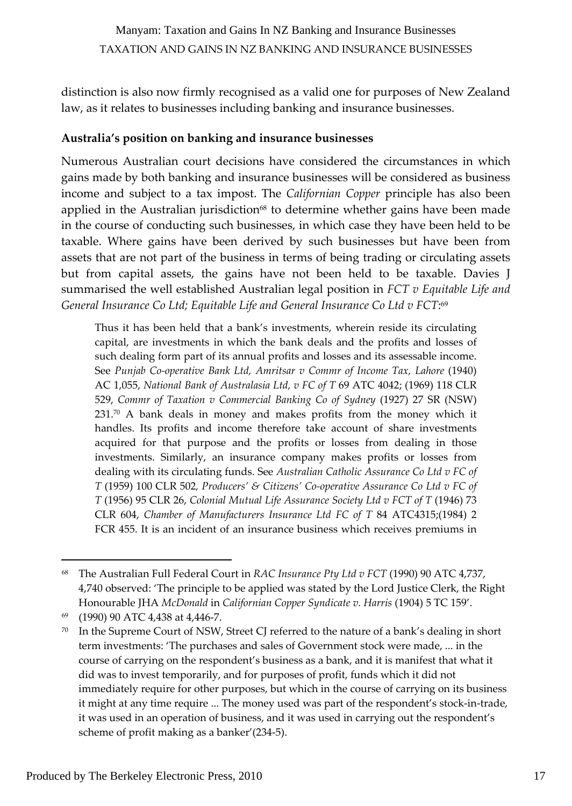distinction is also now firmly recognised as a valid one for purposes of New Zealand law, as it relates to businesses including banking and insurance businesses.

#### **Australia's position on banking and insurance businesses**

Numerous Australian court decisions have considered the circumstances in which gains made by both banking and insurance businesses will be considered as business income and subject to a tax impost. The *Californian Copper* principle has also been applied in the Australian jurisdiction $68$  to determine whether gains have been made in the course of conducting such businesses, in which case they have been held to be taxable. Where gains have been derived by such businesses but have been from assets that are not part of the business in terms of being trading or circulating assets but from capital assets, the gains have not been held to be taxable. Davies J summarised the well established Australian legal position in *FCT v Equitable Life and General Insurance Co Ltd; Equitable Life and General Insurance Co Ltd v FCT*: <sup>69</sup>

Thus it has been held that a bank's investments, wherein reside its circulating capital, are investments in which the bank deals and the profits and losses of such dealing form part of its annual profits and losses and its assessable income. See *Punjab Co‐operative Bank Ltd, Amritsar v Commr of Income Tax, Lahore* (1940) AC 1,055, *National Bank of Australasia Ltd, v FC of T* 69 ATC 4042; (1969) 118 CLR 529, *Commr of Taxation v Commercial Banking Co of Sydney* (1927) 27 SR (NSW)  $231.^{70}$  A bank deals in money and makes profits from the money which it handles. Its profits and income therefore take account of share investments acquired for that purpose and the profits or losses from dealing in those investments. Similarly, an insurance company makes profits or losses from dealing with its circulating funds. See *Australian Catholic Assurance Co Ltd v FC of T* (1959) 100 CLR 502*, Producers' & Citizens' Co‐operative Assurance Co Ltd v FC of T* (1956) 95 CLR 26, *Colonial Mutual Life Assurance Society Ltd v FCT of T* (1946) 73 CLR 604, *Chamber of Manufacturers Insurance Ltd FC of T* 84 ATC4315;(1984) 2 FCR 455. It is an incident of an insurance business which receives premiums in

<sup>68</sup> The Australian Full Federal Court in *RAC Insurance Pty Ltd v FCT* (1990) 90 ATC 4,737, 4,740 observed: 'The principle to be applied was stated by the Lord Justice Clerk, the Right Honourable JHA *McDonald* in *Californian Copper Syndicate v. Harris* (1904) 5 TC 159'.

<sup>69</sup> (1990) 90 ATC 4,438 at 4,446‐7.

 $70$  In the Supreme Court of NSW, Street CJ referred to the nature of a bank's dealing in short term investments: 'The purchases and sales of Government stock were made, ... in the course of carrying on the respondent's business as a bank, and it is manifest that what it did was to invest temporarily, and for purposes of profit, funds which it did not immediately require for other purposes, but which in the course of carrying on its business it might at any time require ... The money used was part of the respondent's stock‐in‐trade, it was used in an operation of business, and it was used in carrying out the respondent's scheme of profit making as a banker'(234‐5).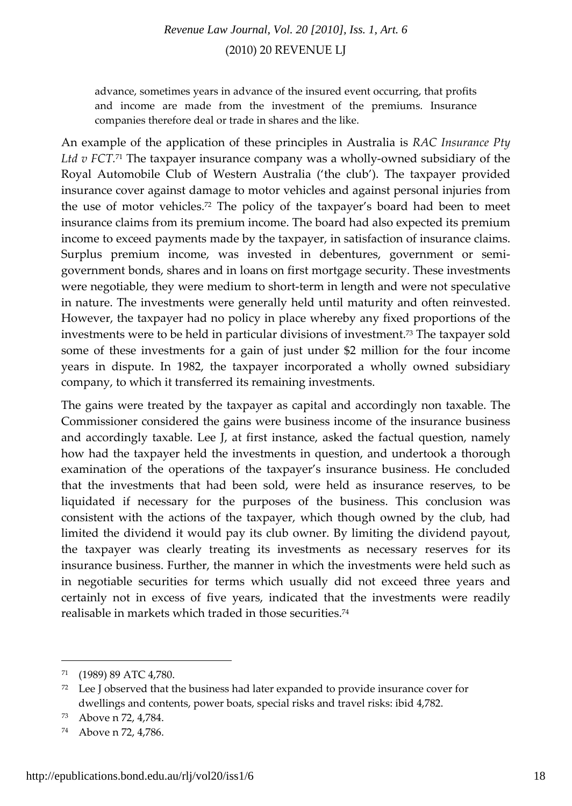advance, sometimes years in advance of the insured event occurring, that profits and income are made from the investment of the premiums. Insurance companies therefore deal or trade in shares and the like.

An example of the application of these principles in Australia is *RAC Insurance Pty Ltd v FCT.*<sup>71</sup> The taxpayer insurance company was a wholly‐owned subsidiary of the Royal Automobile Club of Western Australia ('the club'). The taxpayer provided insurance cover against damage to motor vehicles and against personal injuries from the use of motor vehicles.72 The policy of the taxpayer's board had been to meet insurance claims from its premium income. The board had also expected its premium income to exceed payments made by the taxpayer, in satisfaction of insurance claims. Surplus premium income, was invested in debentures, government or semi‐ government bonds, shares and in loans on first mortgage security. These investments were negotiable, they were medium to short-term in length and were not speculative in nature. The investments were generally held until maturity and often reinvested. However, the taxpayer had no policy in place whereby any fixed proportions of the investments were to be held in particular divisions of investment.73 The taxpayer sold some of these investments for a gain of just under \$2 million for the four income years in dispute. In 1982, the taxpayer incorporated a wholly owned subsidiary company, to which it transferred its remaining investments.

The gains were treated by the taxpayer as capital and accordingly non taxable. The Commissioner considered the gains were business income of the insurance business and accordingly taxable. Lee J, at first instance, asked the factual question, namely how had the taxpayer held the investments in question, and undertook a thorough examination of the operations of the taxpayer's insurance business. He concluded that the investments that had been sold, were held as insurance reserves, to be liquidated if necessary for the purposes of the business. This conclusion was consistent with the actions of the taxpayer, which though owned by the club, had limited the dividend it would pay its club owner. By limiting the dividend payout, the taxpayer was clearly treating its investments as necessary reserves for its insurance business. Further, the manner in which the investments were held such as in negotiable securities for terms which usually did not exceed three years and certainly not in excess of five years, indicated that the investments were readily realisable in markets which traded in those securities.74

<sup>71</sup> (1989) 89 ATC 4,780.

 $72$  Lee J observed that the business had later expanded to provide insurance cover for dwellings and contents, power boats, special risks and travel risks: ibid 4,782.

<sup>73</sup> Above n 72, 4,784.

<sup>74</sup> Above n 72, 4,786.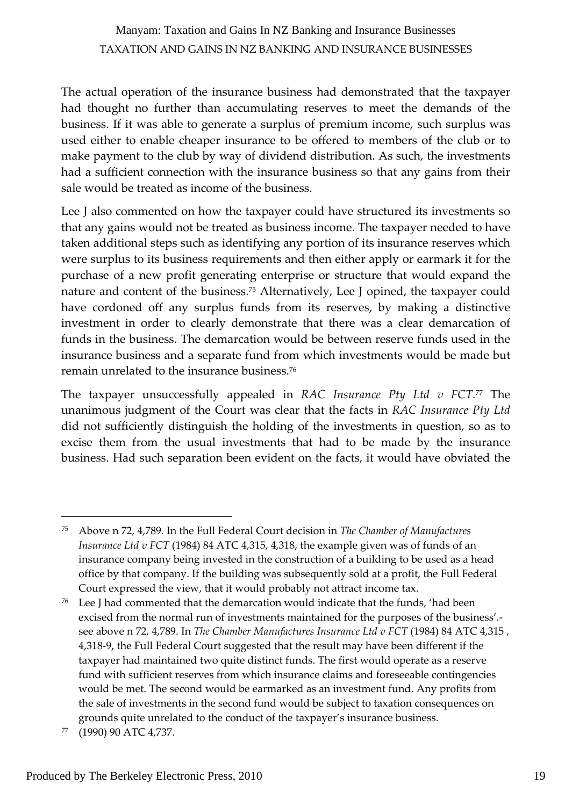The actual operation of the insurance business had demonstrated that the taxpayer had thought no further than accumulating reserves to meet the demands of the business. If it was able to generate a surplus of premium income, such surplus was used either to enable cheaper insurance to be offered to members of the club or to make payment to the club by way of dividend distribution. As such, the investments had a sufficient connection with the insurance business so that any gains from their sale would be treated as income of the business.

Lee J also commented on how the taxpayer could have structured its investments so that any gains would not be treated as business income. The taxpayer needed to have taken additional steps such as identifying any portion of its insurance reserves which were surplus to its business requirements and then either apply or earmark it for the purchase of a new profit generating enterprise or structure that would expand the nature and content of the business.75 Alternatively, Lee J opined, the taxpayer could have cordoned off any surplus funds from its reserves, by making a distinctive investment in order to clearly demonstrate that there was a clear demarcation of funds in the business. The demarcation would be between reserve funds used in the insurance business and a separate fund from which investments would be made but remain unrelated to the insurance business.76

The taxpayer unsuccessfully appealed in *RAC Insurance Pty Ltd v FCT.*<sup>77</sup> The unanimous judgment of the Court was clear that the facts in *RAC Insurance Pty Ltd* did not sufficiently distinguish the holding of the investments in question, so as to excise them from the usual investments that had to be made by the insurance business. Had such separation been evident on the facts, it would have obviated the

 $76$  Lee J had commented that the demarcation would indicate that the funds, 'had been excised from the normal run of investments maintained for the purposes of the business'.‐ see above n 72, 4,789. In *The Chamber Manufactures Insurance Ltd v FCT* (1984) 84 ATC 4,315 , 4,318‐9, the Full Federal Court suggested that the result may have been different if the taxpayer had maintained two quite distinct funds. The first would operate as a reserve fund with sufficient reserves from which insurance claims and foreseeable contingencies would be met. The second would be earmarked as an investment fund. Any profits from the sale of investments in the second fund would be subject to taxation consequences on grounds quite unrelated to the conduct of the taxpayer's insurance business.

<sup>77</sup> (1990) 90 ATC 4,737.

<sup>75</sup> Above n 72, 4,789. In the Full Federal Court decision in *The Chamber of Manufactures Insurance Ltd v FCT* (1984) 84 ATC 4,315, 4,318, the example given was of funds of an insurance company being invested in the construction of a building to be used as a head office by that company. If the building was subsequently sold at a profit, the Full Federal Court expressed the view, that it would probably not attract income tax.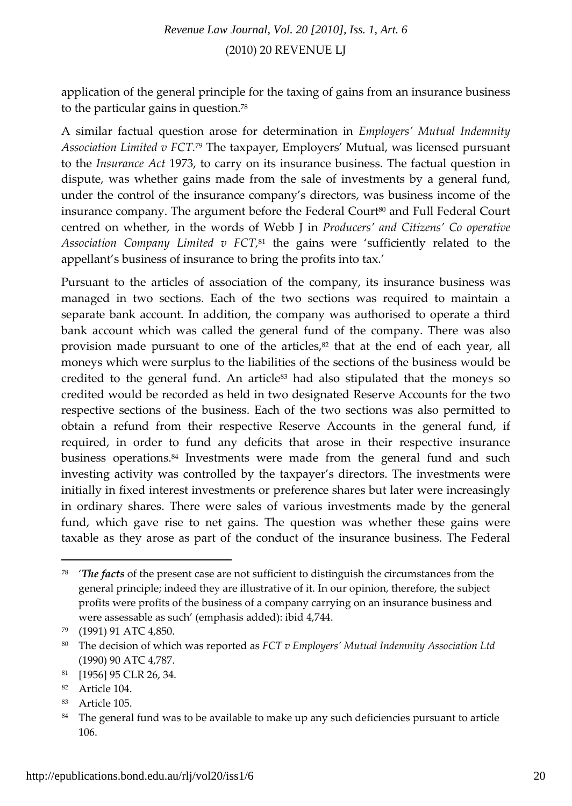application of the general principle for the taxing of gains from an insurance business to the particular gains in question.78

A similar factual question arose for determination in *Employers' Mutual Indemnity Association Limited v FCT.*<sup>79</sup> The taxpayer, Employers' Mutual, was licensed pursuant to the *Insurance Act* 1973, to carry on its insurance business. The factual question in dispute, was whether gains made from the sale of investments by a general fund, under the control of the insurance company's directors, was business income of the insurance company. The argument before the Federal Court<sup>80</sup> and Full Federal Court centred on whether, in the words of Webb J in *Producers' and Citizens' Co operative Association Company Limited v FCT,*<sup>81</sup> the gains were 'sufficiently related to the appellant's business of insurance to bring the profits into tax.'

Pursuant to the articles of association of the company, its insurance business was managed in two sections. Each of the two sections was required to maintain a separate bank account. In addition, the company was authorised to operate a third bank account which was called the general fund of the company. There was also provision made pursuant to one of the articles, $s<sup>2</sup>$  that at the end of each year, all moneys which were surplus to the liabilities of the sections of the business would be credited to the general fund. An article $83$  had also stipulated that the moneys so credited would be recorded as held in two designated Reserve Accounts for the two respective sections of the business. Each of the two sections was also permitted to obtain a refund from their respective Reserve Accounts in the general fund, if required, in order to fund any deficits that arose in their respective insurance business operations.84 Investments were made from the general fund and such investing activity was controlled by the taxpayer's directors. The investments were initially in fixed interest investments or preference shares but later were increasingly in ordinary shares. There were sales of various investments made by the general fund, which gave rise to net gains. The question was whether these gains were taxable as they arose as part of the conduct of the insurance business. The Federal

<sup>78</sup> '*The facts* of the present case are not sufficient to distinguish the circumstances from the general principle; indeed they are illustrative of it. In our opinion, therefore, the subject profits were profits of the business of a company carrying on an insurance business and were assessable as such' (emphasis added): ibid 4,744.

<sup>79</sup> (1991) 91 ATC 4,850.

<sup>80</sup> The decision of which was reported as *FCT v Employers' Mutual Indemnity Association Ltd* (1990) 90 ATC 4,787.

<sup>81</sup> [1956] 95 CLR 26, 34.

<sup>82</sup> Article 104.

<sup>83</sup> Article 105.

<sup>&</sup>lt;sup>84</sup> The general fund was to be available to make up any such deficiencies pursuant to article 106.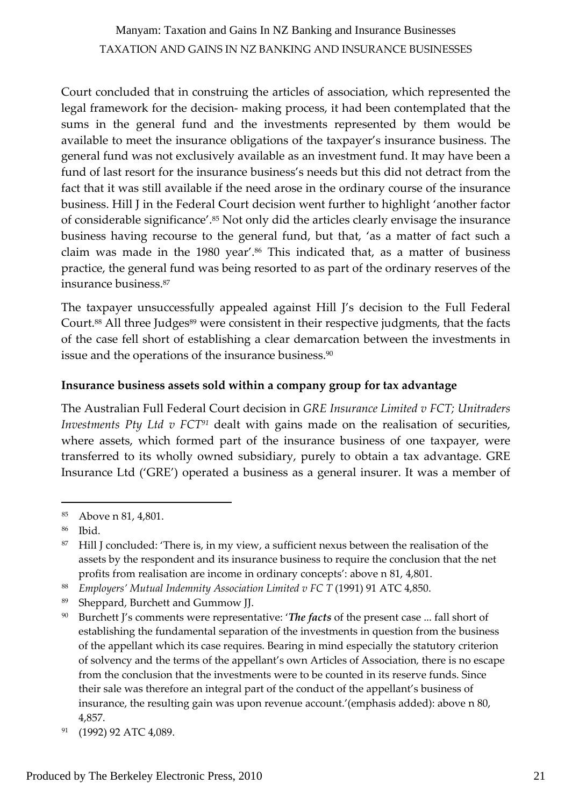Court concluded that in construing the articles of association, which represented the legal framework for the decision‐ making process, it had been contemplated that the sums in the general fund and the investments represented by them would be available to meet the insurance obligations of the taxpayer's insurance business. The general fund was not exclusively available as an investment fund. It may have been a fund of last resort for the insurance business's needs but this did not detract from the fact that it was still available if the need arose in the ordinary course of the insurance business. Hill J in the Federal Court decision went further to highlight 'another factor of considerable significance'.85 Not only did the articles clearly envisage the insurance business having recourse to the general fund, but that, 'as a matter of fact such a claim was made in the 1980 year'.86 This indicated that, as a matter of business practice, the general fund was being resorted to as part of the ordinary reserves of the insurance business.87

The taxpayer unsuccessfully appealed against Hill J's decision to the Full Federal Court.<sup>88</sup> All three Judges<sup>89</sup> were consistent in their respective judgments, that the facts of the case fell short of establishing a clear demarcation between the investments in issue and the operations of the insurance business.<sup>90</sup>

#### **Insurance business assets sold within a company group for tax advantage**

The Australian Full Federal Court decision in *GRE Insurance Limited v FCT; Unitraders Investments Pty Ltd v FCT91* dealt with gains made on the realisation of securities, where assets, which formed part of the insurance business of one taxpayer, were transferred to its wholly owned subsidiary, purely to obtain a tax advantage. GRE Insurance Ltd ('GRE') operated a business as a general insurer. It was a member of

<sup>85</sup> Above n 81, 4,801.

<sup>86</sup> Ibid.

 $87$  Hill J concluded: 'There is, in my view, a sufficient nexus between the realisation of the assets by the respondent and its insurance business to require the conclusion that the net profits from realisation are income in ordinary concepts': above n 81, 4,801.

<sup>88</sup> *Employers' Mutual Indemnity Association Limited v FC T* (1991) 91 ATC 4,850.

<sup>89</sup> Sheppard, Burchett and Gummow JJ.

<sup>90</sup> Burchett J's comments were representative: '*The facts* of the present case ... fall short of establishing the fundamental separation of the investments in question from the business of the appellant which its case requires. Bearing in mind especially the statutory criterion of solvency and the terms of the appellant's own Articles of Association*,* there is no escape from the conclusion that the investments were to be counted in its reserve funds. Since their sale was therefore an integral part of the conduct of the appellant's business of insurance, the resulting gain was upon revenue account.'(emphasis added): above n 80, 4,857.

<sup>91 (1992) 92</sup> ATC 4,089.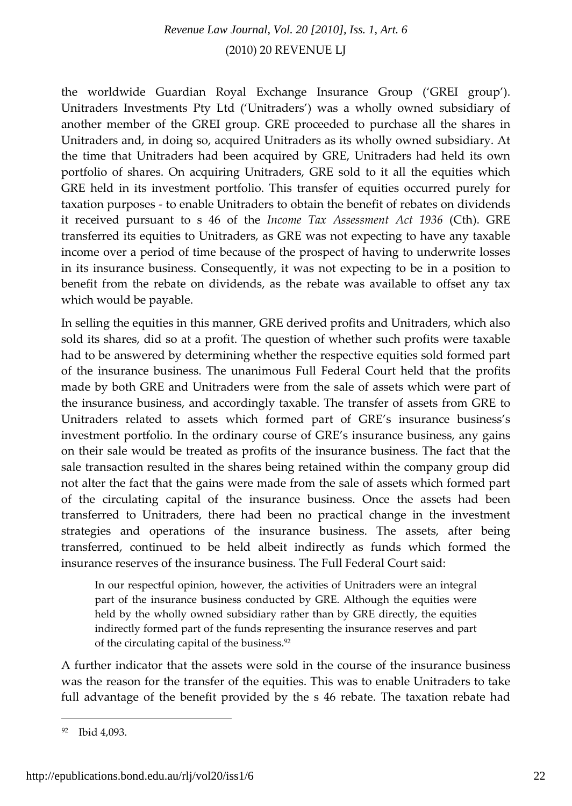the worldwide Guardian Royal Exchange Insurance Group ('GREI group'). Unitraders Investments Pty Ltd ('Unitraders') was a wholly owned subsidiary of another member of the GREI group. GRE proceeded to purchase all the shares in Unitraders and, in doing so, acquired Unitraders as its wholly owned subsidiary. At the time that Unitraders had been acquired by GRE, Unitraders had held its own portfolio of shares. On acquiring Unitraders, GRE sold to it all the equities which GRE held in its investment portfolio. This transfer of equities occurred purely for taxation purposes ‐ to enable Unitraders to obtain the benefit of rebates on dividends it received pursuant to s 46 of the *Income Tax Assessment Act 1936* (Cth). GRE transferred its equities to Unitraders, as GRE was not expecting to have any taxable income over a period of time because of the prospect of having to underwrite losses in its insurance business. Consequently, it was not expecting to be in a position to benefit from the rebate on dividends, as the rebate was available to offset any tax which would be payable.

In selling the equities in this manner, GRE derived profits and Unitraders, which also sold its shares, did so at a profit. The question of whether such profits were taxable had to be answered by determining whether the respective equities sold formed part of the insurance business. The unanimous Full Federal Court held that the profits made by both GRE and Unitraders were from the sale of assets which were part of the insurance business, and accordingly taxable. The transfer of assets from GRE to Unitraders related to assets which formed part of GRE's insurance business's investment portfolio. In the ordinary course of GRE's insurance business, any gains on their sale would be treated as profits of the insurance business. The fact that the sale transaction resulted in the shares being retained within the company group did not alter the fact that the gains were made from the sale of assets which formed part of the circulating capital of the insurance business. Once the assets had been transferred to Unitraders, there had been no practical change in the investment strategies and operations of the insurance business. The assets, after being transferred, continued to be held albeit indirectly as funds which formed the insurance reserves of the insurance business. The Full Federal Court said:

In our respectful opinion, however, the activities of Unitraders were an integral part of the insurance business conducted by GRE. Although the equities were held by the wholly owned subsidiary rather than by GRE directly, the equities indirectly formed part of the funds representing the insurance reserves and part of the circulating capital of the business.<sup>92</sup>

A further indicator that the assets were sold in the course of the insurance business was the reason for the transfer of the equities. This was to enable Unitraders to take full advantage of the benefit provided by the s 46 rebate. The taxation rebate had

<sup>92</sup> Ibid 4,093.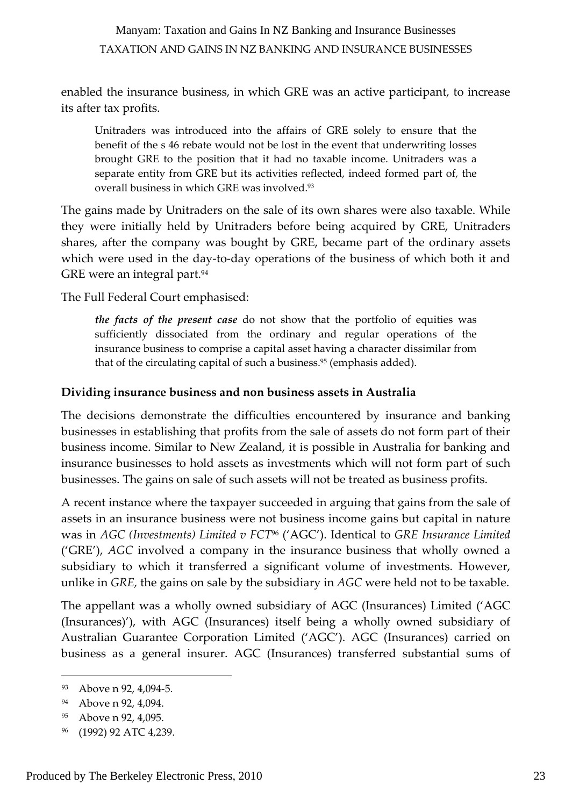enabled the insurance business, in which GRE was an active participant, to increase its after tax profits.

Unitraders was introduced into the affairs of GRE solely to ensure that the benefit of the s 46 rebate would not be lost in the event that underwriting losses brought GRE to the position that it had no taxable income. Unitraders was a separate entity from GRE but its activities reflected, indeed formed part of, the overall business in which GRE was involved.<sup>93</sup>

The gains made by Unitraders on the sale of its own shares were also taxable. While they were initially held by Unitraders before being acquired by GRE, Unitraders shares, after the company was bought by GRE, became part of the ordinary assets which were used in the day-to-day operations of the business of which both it and GRE were an integral part.<sup>94</sup>

The Full Federal Court emphasised:

*the facts of the present case* do not show that the portfolio of equities was sufficiently dissociated from the ordinary and regular operations of the insurance business to comprise a capital asset having a character dissimilar from that of the circulating capital of such a business.<sup>95</sup> (emphasis added).

#### **Dividing insurance business and non business assets in Australia**

The decisions demonstrate the difficulties encountered by insurance and banking businesses in establishing that profits from the sale of assets do not form part of their business income. Similar to New Zealand, it is possible in Australia for banking and insurance businesses to hold assets as investments which will not form part of such businesses. The gains on sale of such assets will not be treated as business profits.

A recent instance where the taxpayer succeeded in arguing that gains from the sale of assets in an insurance business were not business income gains but capital in nature was in *AGC (Investments) Limited v FCT*<sup>96</sup> ('AGC'). Identical to *GRE Insurance Limited* ('GRE'), *AGC* involved a company in the insurance business that wholly owned a subsidiary to which it transferred a significant volume of investments. However, unlike in *GRE,* the gains on sale by the subsidiary in *AGC* were held not to be taxable.

The appellant was a wholly owned subsidiary of AGC (Insurances) Limited ('AGC (Insurances)'), with AGC (Insurances) itself being a wholly owned subsidiary of Australian Guarantee Corporation Limited ('AGC'). AGC (Insurances) carried on business as a general insurer. AGC (Insurances) transferred substantial sums of

<sup>93</sup> Above n 92, 4,094‐5.

<sup>&</sup>lt;sup>94</sup> Above n 92, 4,094.

<sup>95</sup> Above n 92, 4,095.

<sup>96</sup> (1992) 92 ATC 4,239.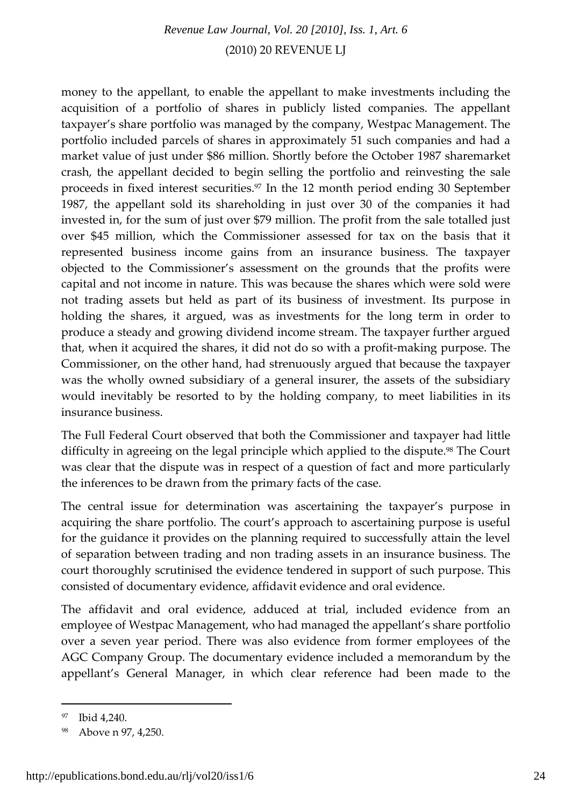money to the appellant, to enable the appellant to make investments including the acquisition of a portfolio of shares in publicly listed companies. The appellant taxpayer's share portfolio was managed by the company, Westpac Management. The portfolio included parcels of shares in approximately 51 such companies and had a market value of just under \$86 million. Shortly before the October 1987 sharemarket crash, the appellant decided to begin selling the portfolio and reinvesting the sale proceeds in fixed interest securities.97 In the 12 month period ending 30 September 1987, the appellant sold its shareholding in just over 30 of the companies it had invested in, for the sum of just over \$79 million. The profit from the sale totalled just over \$45 million, which the Commissioner assessed for tax on the basis that it represented business income gains from an insurance business. The taxpayer objected to the Commissioner's assessment on the grounds that the profits were capital and not income in nature. This was because the shares which were sold were not trading assets but held as part of its business of investment. Its purpose in holding the shares, it argued, was as investments for the long term in order to produce a steady and growing dividend income stream. The taxpayer further argued that, when it acquired the shares, it did not do so with a profit‐making purpose. The Commissioner, on the other hand, had strenuously argued that because the taxpayer was the wholly owned subsidiary of a general insurer, the assets of the subsidiary would inevitably be resorted to by the holding company, to meet liabilities in its insurance business.

The Full Federal Court observed that both the Commissioner and taxpayer had little difficulty in agreeing on the legal principle which applied to the dispute.<sup>98</sup> The Court was clear that the dispute was in respect of a question of fact and more particularly the inferences to be drawn from the primary facts of the case.

The central issue for determination was ascertaining the taxpayer's purpose in acquiring the share portfolio. The court's approach to ascertaining purpose is useful for the guidance it provides on the planning required to successfully attain the level of separation between trading and non trading assets in an insurance business. The court thoroughly scrutinised the evidence tendered in support of such purpose. This consisted of documentary evidence, affidavit evidence and oral evidence.

The affidavit and oral evidence, adduced at trial, included evidence from an employee of Westpac Management, who had managed the appellant's share portfolio over a seven year period. There was also evidence from former employees of the AGC Company Group. The documentary evidence included a memorandum by the appellant's General Manager, in which clear reference had been made to the

<sup>97</sup> Ibid 4,240.

<sup>98</sup> Above n 97, 4,250.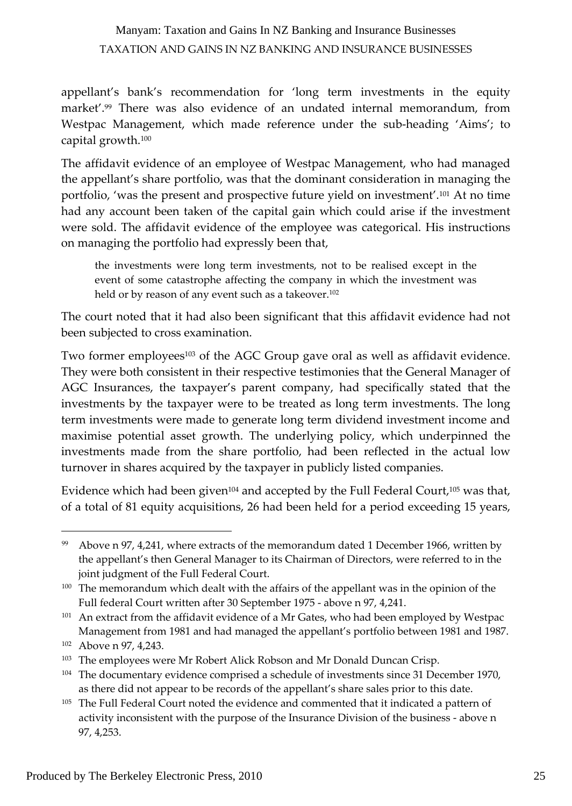appellant's bank's recommendation for 'long term investments in the equity market'.99 There was also evidence of an undated internal memorandum, from Westpac Management, which made reference under the sub-heading 'Aims'; to capital growth.100

The affidavit evidence of an employee of Westpac Management, who had managed the appellant's share portfolio, was that the dominant consideration in managing the portfolio, 'was the present and prospective future yield on investment'.101 At no time had any account been taken of the capital gain which could arise if the investment were sold. The affidavit evidence of the employee was categorical. His instructions on managing the portfolio had expressly been that,

the investments were long term investments, not to be realised except in the event of some catastrophe affecting the company in which the investment was held or by reason of any event such as a takeover.<sup>102</sup>

The court noted that it had also been significant that this affidavit evidence had not been subjected to cross examination.

Two former employees<sup>103</sup> of the AGC Group gave oral as well as affidavit evidence. They were both consistent in their respective testimonies that the General Manager of AGC Insurances, the taxpayer's parent company, had specifically stated that the investments by the taxpayer were to be treated as long term investments. The long term investments were made to generate long term dividend investment income and maximise potential asset growth. The underlying policy, which underpinned the investments made from the share portfolio, had been reflected in the actual low turnover in shares acquired by the taxpayer in publicly listed companies.

Evidence which had been given104 and accepted by the Full Federal Court,105 was that, of a total of 81 equity acquisitions, 26 had been held for a period exceeding 15 years,

<sup>&</sup>lt;sup>99</sup> Above n 97, 4,241, where extracts of the memorandum dated 1 December 1966, written by the appellant's then General Manager to its Chairman of Directors, were referred to in the joint judgment of the Full Federal Court.

<sup>&</sup>lt;sup>100</sup> The memorandum which dealt with the affairs of the appellant was in the opinion of the Full federal Court written after 30 September 1975 ‐ above n 97, 4,241.

<sup>&</sup>lt;sup>101</sup> An extract from the affidavit evidence of a Mr Gates, who had been employed by Westpac Management from 1981 and had managed the appellant's portfolio between 1981 and 1987.

<sup>&</sup>lt;sup>102</sup> Above n 97, 4,243.

<sup>&</sup>lt;sup>103</sup> The employees were Mr Robert Alick Robson and Mr Donald Duncan Crisp.

<sup>&</sup>lt;sup>104</sup> The documentary evidence comprised a schedule of investments since 31 December 1970, as there did not appear to be records of the appellant's share sales prior to this date.

<sup>&</sup>lt;sup>105</sup> The Full Federal Court noted the evidence and commented that it indicated a pattern of activity inconsistent with the purpose of the Insurance Division of the business ‐ above n 97, 4,253.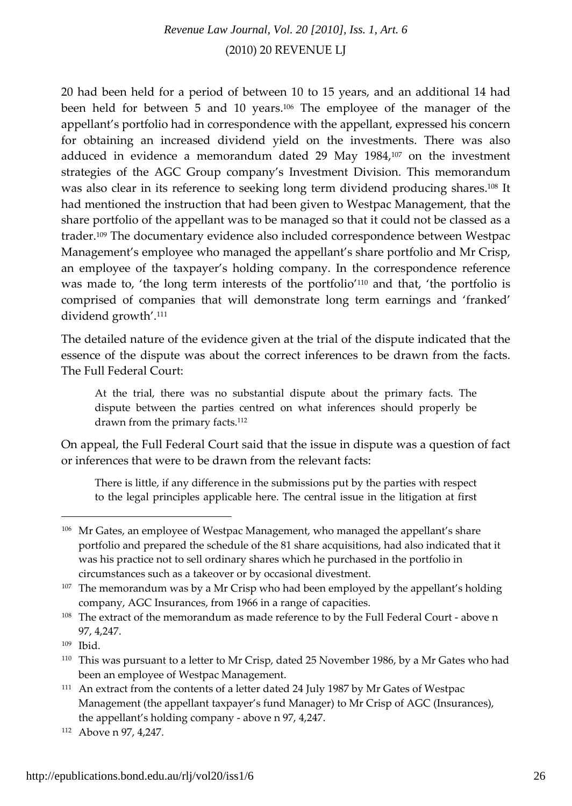20 had been held for a period of between 10 to 15 years, and an additional 14 had been held for between 5 and 10 years.106 The employee of the manager of the appellant's portfolio had in correspondence with the appellant, expressed his concern for obtaining an increased dividend yield on the investments. There was also adduced in evidence a memorandum dated 29 May 1984,107 on the investment strategies of the AGC Group company's Investment Division. This memorandum was also clear in its reference to seeking long term dividend producing shares.108 It had mentioned the instruction that had been given to Westpac Management, that the share portfolio of the appellant was to be managed so that it could not be classed as a trader.109 The documentary evidence also included correspondence between Westpac Management's employee who managed the appellant's share portfolio and Mr Crisp, an employee of the taxpayer's holding company. In the correspondence reference was made to, 'the long term interests of the portfolio'110 and that, 'the portfolio is comprised of companies that will demonstrate long term earnings and 'franked' dividend growth'.111

The detailed nature of the evidence given at the trial of the dispute indicated that the essence of the dispute was about the correct inferences to be drawn from the facts. The Full Federal Court:

At the trial, there was no substantial dispute about the primary facts. The dispute between the parties centred on what inferences should properly be drawn from the primary facts.<sup>112</sup>

On appeal, the Full Federal Court said that the issue in dispute was a question of fact or inferences that were to be drawn from the relevant facts:

There is little, if any difference in the submissions put by the parties with respect to the legal principles applicable here. The central issue in the litigation at first

<sup>&</sup>lt;sup>106</sup> Mr Gates, an employee of Westpac Management, who managed the appellant's share portfolio and prepared the schedule of the 81 share acquisitions, had also indicated that it was his practice not to sell ordinary shares which he purchased in the portfolio in circumstances such as a takeover or by occasional divestment.

<sup>&</sup>lt;sup>107</sup> The memorandum was by a Mr Crisp who had been employed by the appellant's holding company, AGC Insurances, from 1966 in a range of capacities.

<sup>108</sup> The extract of the memorandum as made reference to by the Full Federal Court - above n 97, 4,247.

<sup>109</sup> Ibid.

<sup>110</sup> This was pursuant to a letter to Mr Crisp, dated 25 November 1986, by a Mr Gates who had been an employee of Westpac Management.

<sup>&</sup>lt;sup>111</sup> An extract from the contents of a letter dated 24 July 1987 by Mr Gates of Westpac Management (the appellant taxpayer's fund Manager) to Mr Crisp of AGC (Insurances), the appellant's holding company ‐ above n 97, 4,247.

<sup>&</sup>lt;sup>112</sup> Above n 97, 4,247.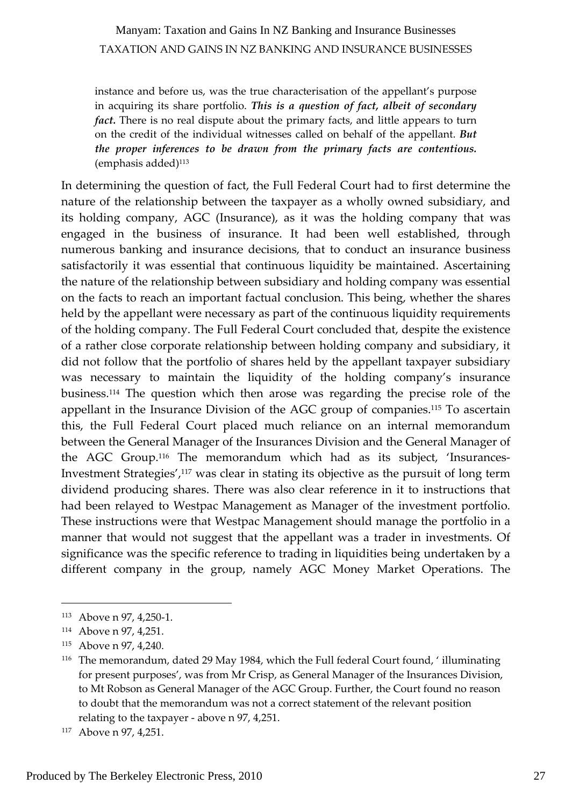instance and before us, was the true characterisation of the appellant's purpose in acquiring its share portfolio. *This is a question of fact, albeit of secondary fact.* There is no real dispute about the primary facts, and little appears to turn on the credit of the individual witnesses called on behalf of the appellant. *But the proper inferences to be drawn from the primary facts are contentious.*  $(emphasis added)^{113}$ 

In determining the question of fact, the Full Federal Court had to first determine the nature of the relationship between the taxpayer as a wholly owned subsidiary, and its holding company, AGC (Insurance), as it was the holding company that was engaged in the business of insurance. It had been well established, through numerous banking and insurance decisions, that to conduct an insurance business satisfactorily it was essential that continuous liquidity be maintained. Ascertaining the nature of the relationship between subsidiary and holding company was essential on the facts to reach an important factual conclusion. This being, whether the shares held by the appellant were necessary as part of the continuous liquidity requirements of the holding company. The Full Federal Court concluded that, despite the existence of a rather close corporate relationship between holding company and subsidiary, it did not follow that the portfolio of shares held by the appellant taxpayer subsidiary was necessary to maintain the liquidity of the holding company's insurance business.114 The question which then arose was regarding the precise role of the appellant in the Insurance Division of the AGC group of companies.115 To ascertain this, the Full Federal Court placed much reliance on an internal memorandum between the General Manager of the Insurances Division and the General Manager of the AGC Group.<sup>116</sup> The memorandum which had as its subject, 'Insurances-Investment Strategies',117 was clear in stating its objective as the pursuit of long term dividend producing shares. There was also clear reference in it to instructions that had been relayed to Westpac Management as Manager of the investment portfolio. These instructions were that Westpac Management should manage the portfolio in a manner that would not suggest that the appellant was a trader in investments. Of significance was the specific reference to trading in liquidities being undertaken by a different company in the group, namely AGC Money Market Operations. The

<sup>113</sup> Above n 97, 4,250‐1.

<sup>114</sup> Above n 97, 4,251.

<sup>115</sup> Above n 97, 4,240.

<sup>116</sup> The memorandum, dated 29 May 1984, which the Full federal Court found, ' illuminating for present purposes', was from Mr Crisp, as General Manager of the Insurances Division, to Mt Robson as General Manager of the AGC Group. Further, the Court found no reason to doubt that the memorandum was not a correct statement of the relevant position relating to the taxpayer ‐ above n 97, 4,251.

<sup>&</sup>lt;sup>117</sup> Above n 97, 4,251.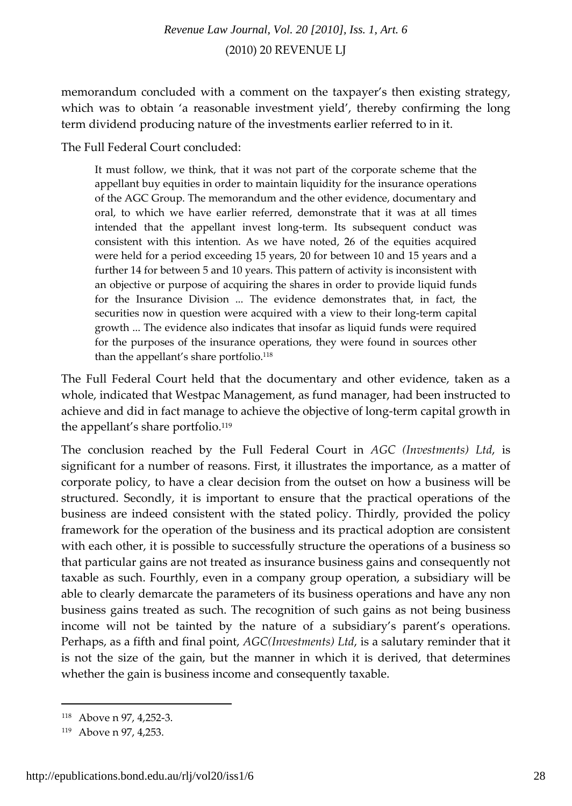memorandum concluded with a comment on the taxpayer's then existing strategy, which was to obtain 'a reasonable investment yield', thereby confirming the long term dividend producing nature of the investments earlier referred to in it.

The Full Federal Court concluded:

It must follow, we think, that it was not part of the corporate scheme that the appellant buy equities in order to maintain liquidity for the insurance operations of the AGC Group. The memorandum and the other evidence, documentary and oral, to which we have earlier referred, demonstrate that it was at all times intended that the appellant invest long‐term. Its subsequent conduct was consistent with this intention. As we have noted, 26 of the equities acquired were held for a period exceeding 15 years, 20 for between 10 and 15 years and a further 14 for between 5 and 10 years. This pattern of activity is inconsistent with an objective or purpose of acquiring the shares in order to provide liquid funds for the Insurance Division ... The evidence demonstrates that, in fact, the securities now in question were acquired with a view to their long-term capital growth ... The evidence also indicates that insofar as liquid funds were required for the purposes of the insurance operations, they were found in sources other than the appellant's share portfolio.<sup>118</sup>

The Full Federal Court held that the documentary and other evidence, taken as a whole, indicated that Westpac Management, as fund manager, had been instructed to achieve and did in fact manage to achieve the objective of long‐term capital growth in the appellant's share portfolio.<sup>119</sup>

The conclusion reached by the Full Federal Court in *AGC (Investments) Ltd*, is significant for a number of reasons. First, it illustrates the importance, as a matter of corporate policy, to have a clear decision from the outset on how a business will be structured. Secondly, it is important to ensure that the practical operations of the business are indeed consistent with the stated policy. Thirdly, provided the policy framework for the operation of the business and its practical adoption are consistent with each other, it is possible to successfully structure the operations of a business so that particular gains are not treated as insurance business gains and consequently not taxable as such. Fourthly, even in a company group operation, a subsidiary will be able to clearly demarcate the parameters of its business operations and have any non business gains treated as such. The recognition of such gains as not being business income will not be tainted by the nature of a subsidiary's parent's operations. Perhaps, as a fifth and final point, *AGC(Investments) Ltd*, is a salutary reminder that it is not the size of the gain, but the manner in which it is derived, that determines whether the gain is business income and consequently taxable.

<sup>118</sup> Above n 97, 4,252‐3.

<sup>119</sup> Above n 97, 4,253.